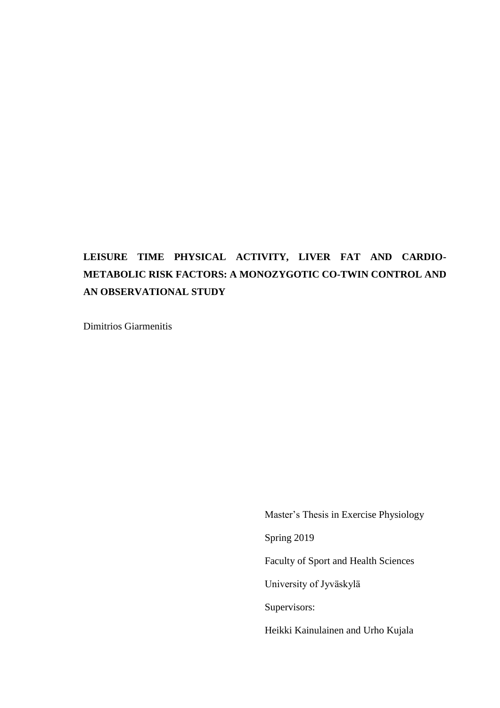# **LEISURE TIME PHYSICAL ACTIVITY, LIVER FAT AND CARDIO-METABOLIC RISK FACTORS: A MONOZYGOTIC CO-TWIN CONTROL AND AN OBSERVATIONAL STUDY**

Dimitrios Giarmenitis

Master's Thesis in Exercise Physiology Spring 2019 Faculty of Sport and Health Sciences University of Jyväskylä Supervisors: Heikki Kainulainen and Urho Kujala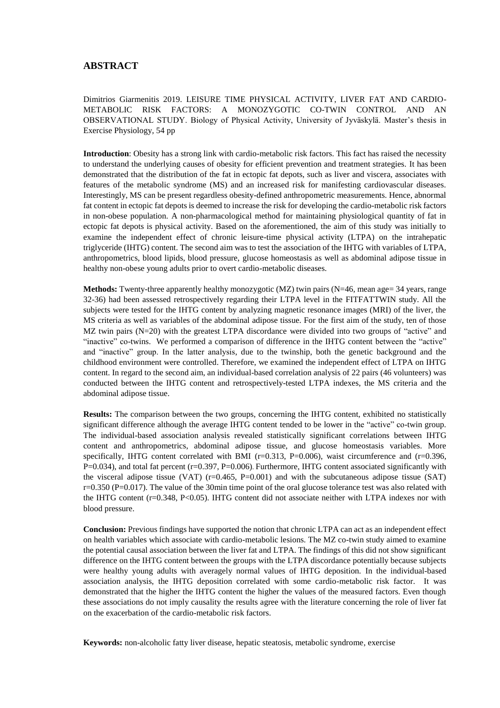### **ABSTRACT**

Dimitrios Giarmenitis 2019. LEISURE TIME PHYSICAL ACTIVITY, LIVER FAT AND CARDIO-METABOLIC RISK FACTORS: A MONOZYGOTIC CO-TWIN CONTROL AND AN OBSERVATIONAL STUDY. Biology of Physical Activity, University of Jyväskylä. Master's thesis in Exercise Physiology, 54 pp

**Introduction**: Obesity has a strong link with cardio-metabolic risk factors. This fact has raised the necessity to understand the underlying causes of obesity for efficient prevention and treatment strategies. It has been demonstrated that the distribution of the fat in ectopic fat depots, such as liver and viscera, associates with features of the metabolic syndrome (MS) and an increased risk for manifesting cardiovascular diseases. Interestingly, MS can be present regardless obesity-defined anthropometric measurements. Hence, abnormal fat content in ectopic fat depots is deemed to increase the risk for developing the cardio-metabolic risk factors in non-obese population. A non-pharmacological method for maintaining physiological quantity of fat in ectopic fat depots is physical activity. Based on the aforementioned, the aim of this study was initially to examine the independent effect of chronic leisure-time physical activity (LTPA) on the intrahepatic triglyceride (IHTG) content. The second aim was to test the association of the IHTG with variables of LTPA, anthropometrics, blood lipids, blood pressure, glucose homeostasis as well as abdominal adipose tissue in healthy non-obese young adults prior to overt cardio-metabolic diseases.

**Methods:** Twenty-three apparently healthy monozygotic (MZ) twin pairs (N=46, mean age= 34 years, range 32-36) had been assessed retrospectively regarding their LTPA level in the FITFATTWIN study. All the subjects were tested for the IHTG content by analyzing magnetic resonance images (MRI) of the liver, the MS criteria as well as variables of the abdominal adipose tissue. For the first aim of the study, ten of those MZ twin pairs (N=20) with the greatest LTPA discordance were divided into two groups of "active" and "inactive" co-twins. We performed a comparison of difference in the IHTG content between the "active" and "inactive" group. In the latter analysis, due to the twinship, both the genetic background and the childhood environment were controlled. Therefore, we examined the independent effect of LTPA on IHTG content. In regard to the second aim, an individual-based correlation analysis of 22 pairs (46 volunteers) was conducted between the IHTG content and retrospectively-tested LTPA indexes, the MS criteria and the abdominal adipose tissue.

**Results:** The comparison between the two groups, concerning the IHTG content, exhibited no statistically significant difference although the average IHTG content tended to be lower in the "active" co-twin group. The individual-based association analysis revealed statistically significant correlations between IHTG content and anthropometrics, abdominal adipose tissue, and glucose homeostasis variables. More specifically, IHTG content correlated with BMI (r=0.313, P=0.006), waist circumference and (r=0.396,  $P=0.034$ ), and total fat percent (r=0.397, P=0.006). Furthermore, IHTG content associated significantly with the visceral adipose tissue (VAT) (r=0.465, P=0.001) and with the subcutaneous adipose tissue (SAT) r=0.350 (P=0.017). The value of the 30min time point of the oral glucose tolerance test was also related with the IHTG content (r=0.348, P<0.05). IHTG content did not associate neither with LTPA indexes nor with blood pressure.

**Conclusion:** Previous findings have supported the notion that chronic LTPA can act as an independent effect on health variables which associate with cardio-metabolic lesions. The MZ co-twin study aimed to examine the potential causal association between the liver fat and LTPA. The findings of this did not show significant difference on the IHTG content between the groups with the LTPA discordance potentially because subjects were healthy young adults with averagely normal values of IHTG deposition. In the individual-based association analysis, the IHTG deposition correlated with some cardio-metabolic risk factor. It was demonstrated that the higher the IHTG content the higher the values of the measured factors. Even though these associations do not imply causality the results agree with the literature concerning the role of liver fat on the exacerbation of the cardio-metabolic risk factors.

**Keywords:** non-alcoholic fatty liver disease, hepatic steatosis, metabolic syndrome, exercise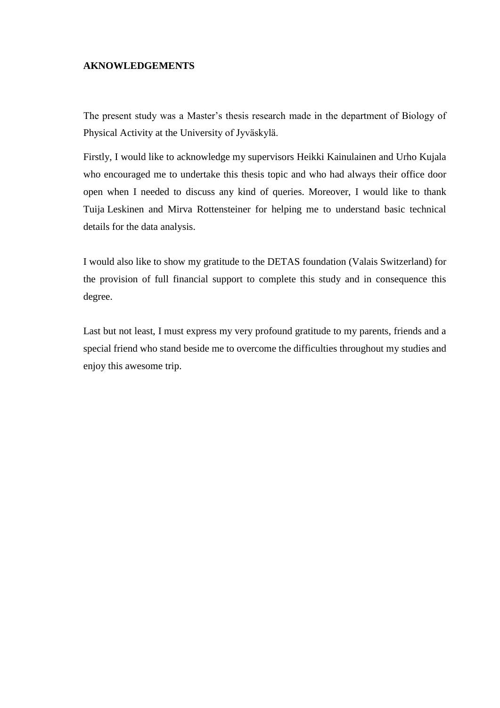## **AKNOWLEDGEMENTS**

The present study was a Master's thesis research made in the department of Biology of Physical Activity at the University of Jyväskylä.

Firstly, I would like to acknowledge my supervisors Heikki Kainulainen and Urho Kujala who encouraged me to undertake this thesis topic and who had always their office door open when I needed to discuss any kind of queries. Moreover, I would like to thank Tuija Leskinen and Mirva Rottensteiner for helping me to understand basic technical details for the data analysis.

I would also like to show my gratitude to the DETAS foundation (Valais Switzerland) for the provision of full financial support to complete this study and in consequence this degree.

Last but not least, I must express my very profound gratitude to my parents, friends and a special friend who stand beside me to overcome the difficulties throughout my studies and enjoy this awesome trip.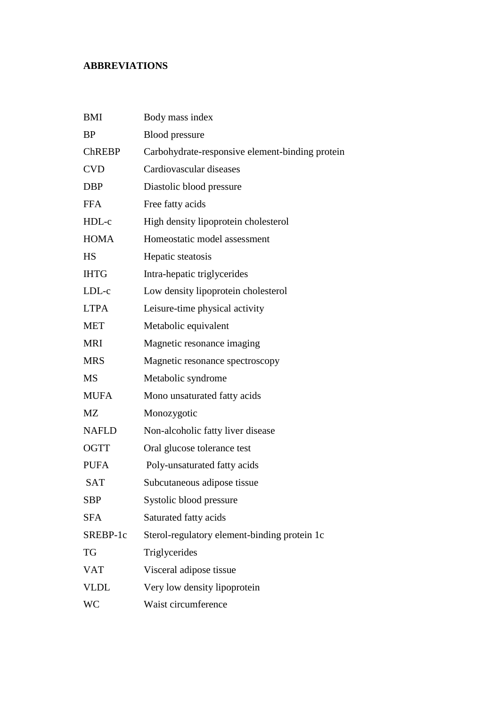## **ABBREVIATIONS**

| <b>BMI</b>    | Body mass index                                 |
|---------------|-------------------------------------------------|
| <b>BP</b>     | <b>Blood</b> pressure                           |
| <b>ChREBP</b> | Carbohydrate-responsive element-binding protein |
| <b>CVD</b>    | Cardiovascular diseases                         |
| <b>DBP</b>    | Diastolic blood pressure                        |
| <b>FFA</b>    | Free fatty acids                                |
| HDL-c         | High density lipoprotein cholesterol            |
| <b>HOMA</b>   | Homeostatic model assessment                    |
| <b>HS</b>     | Hepatic steatosis                               |
| <b>IHTG</b>   | Intra-hepatic triglycerides                     |
| LDL-c         | Low density lipoprotein cholesterol             |
| <b>LTPA</b>   | Leisure-time physical activity                  |
| <b>MET</b>    | Metabolic equivalent                            |
| <b>MRI</b>    | Magnetic resonance imaging                      |
| <b>MRS</b>    | Magnetic resonance spectroscopy                 |
| <b>MS</b>     | Metabolic syndrome                              |
| <b>MUFA</b>   | Mono unsaturated fatty acids                    |
| <b>MZ</b>     | Monozygotic                                     |
| <b>NAFLD</b>  | Non-alcoholic fatty liver disease               |
| <b>OGTT</b>   | Oral glucose tolerance test                     |
| <b>PUFA</b>   | Poly-unsaturated fatty acids                    |
| <b>SAT</b>    | Subcutaneous adipose tissue                     |
| SBP           | Systolic blood pressure                         |
| <b>SFA</b>    | Saturated fatty acids                           |
| SREBP-1c      | Sterol-regulatory element-binding protein 1c    |
| <b>TG</b>     | Triglycerides                                   |
| <b>VAT</b>    | Visceral adipose tissue                         |
| <b>VLDL</b>   | Very low density lipoprotein                    |
| WC            | Waist circumference                             |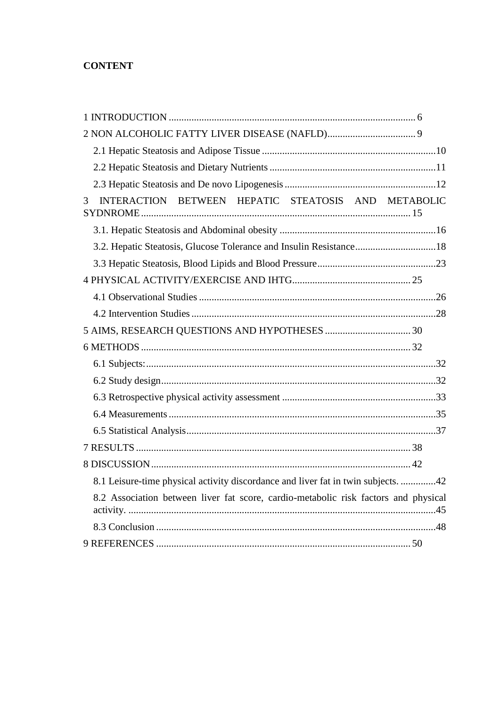## **CONTENT**

| INTERACTION BETWEEN HEPATIC STEATOSIS AND METABOLIC<br>3                            |  |
|-------------------------------------------------------------------------------------|--|
|                                                                                     |  |
| 3.2. Hepatic Steatosis, Glucose Tolerance and Insulin Resistance18                  |  |
|                                                                                     |  |
|                                                                                     |  |
|                                                                                     |  |
|                                                                                     |  |
|                                                                                     |  |
|                                                                                     |  |
|                                                                                     |  |
|                                                                                     |  |
|                                                                                     |  |
|                                                                                     |  |
|                                                                                     |  |
|                                                                                     |  |
|                                                                                     |  |
| 8.1 Leisure-time physical activity discordance and liver fat in twin subjects. 42   |  |
| 8.2 Association between liver fat score, cardio-metabolic risk factors and physical |  |
|                                                                                     |  |
|                                                                                     |  |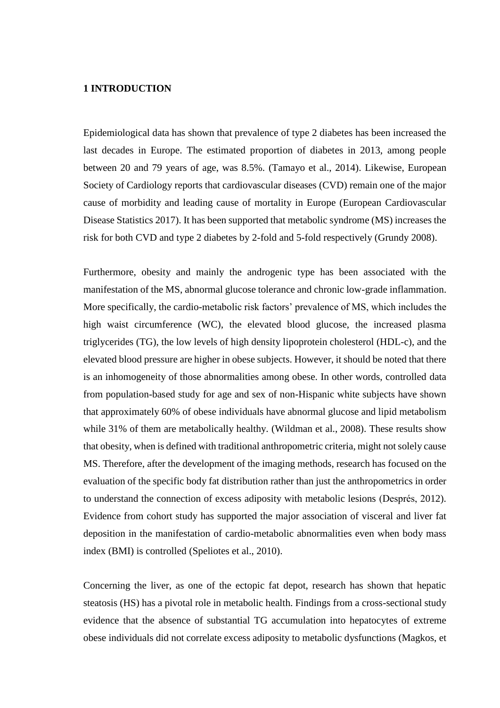## <span id="page-5-0"></span>**1 INTRODUCTION**

Epidemiological data has shown that prevalence of type 2 diabetes has been increased the last decades in Europe. The estimated proportion of diabetes in 2013, among people between 20 and 79 years of age, was 8.5%. (Tamayo et al., 2014). Likewise, European Society of Cardiology reports that cardiovascular diseases (CVD) remain one of the major cause of morbidity and leading cause of mortality in Europe (European Cardiovascular Disease Statistics 2017). It has been supported that metabolic syndrome (MS) increases the risk for both CVD and type 2 diabetes by 2-fold and 5-fold respectively (Grundy 2008).

Furthermore, obesity and mainly the androgenic type has been associated with the manifestation of the MS, abnormal glucose tolerance and chronic low-grade inflammation. More specifically, the cardio-metabolic risk factors' prevalence of MS, which includes the high waist circumference (WC), the elevated blood glucose, the increased plasma triglycerides (TG), the low levels of high density lipoprotein cholesterol (HDL-c), and the elevated blood pressure are higher in obese subjects. However, it should be noted that there is an inhomogeneity of those abnormalities among obese. In other words, controlled data from population-based study for age and sex of non-Hispanic white subjects have shown that approximately 60% of obese individuals have abnormal glucose and lipid metabolism while 31% of them are metabolically healthy. (Wildman et al., 2008). These results show that obesity, when is defined with traditional anthropometric criteria, might not solely cause MS. Therefore, after the development of the imaging methods, research has focused on the evaluation of the specific body fat distribution rather than just the anthropometrics in order to understand the connection of excess adiposity with metabolic lesions (Després, 2012). Evidence from cohort study has supported the major association of visceral and liver fat deposition in the manifestation of cardio-metabolic abnormalities even when body mass index (BMI) is controlled (Speliotes et al., 2010).

Concerning the liver, as one of the ectopic fat depot, research has shown that hepatic steatosis (HS) has a pivotal role in metabolic health. Findings from a cross-sectional study evidence that the absence of substantial TG accumulation into hepatocytes of extreme obese individuals did not correlate excess adiposity to metabolic dysfunctions (Magkos, et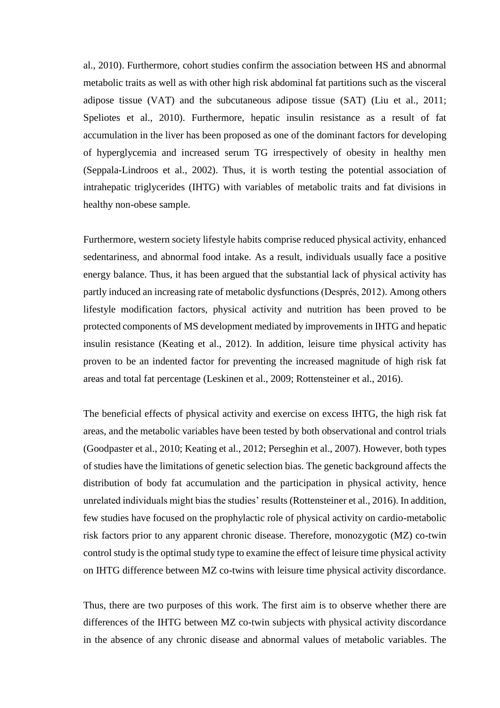al., 2010). Furthermore, cohort studies confirm the association between HS and abnormal metabolic traits as well as with other high risk abdominal fat partitions such as the visceral adipose tissue (VAT) and the subcutaneous adipose tissue (SAT) (Liu et al., 2011; Speliotes et al., 2010). Furthermore, hepatic insulin resistance as a result of fat accumulation in the liver has been proposed as one of the dominant factors for developing of hyperglycemia and increased serum TG irrespectively of obesity in healthy men (Seppala-Lindroos et al., 2002). Thus, it is worth testing the potential association of intrahepatic triglycerides (IHTG) with variables of metabolic traits and fat divisions in healthy non-obese sample.

Furthermore, western society lifestyle habits comprise reduced physical activity, enhanced sedentariness, and abnormal food intake. As a result, individuals usually face a positive energy balance. Thus, it has been argued that the substantial lack of physical activity has partly induced an increasing rate of metabolic dysfunctions (Després, 2012). Among others lifestyle modification factors, physical activity and nutrition has been proved to be protected components of MS development mediated by improvements in IHTG and hepatic insulin resistance (Keating et al., 2012). In addition, leisure time physical activity has proven to be an indented factor for preventing the increased magnitude of high risk fat areas and total fat percentage (Leskinen et al., 2009; Rottensteiner et al., 2016).

The beneficial effects of physical activity and exercise on excess IHTG, the high risk fat areas, and the metabolic variables have been tested by both observational and control trials (Goodpaster et al., 2010; Keating et al., 2012; Perseghin et al., 2007). However, both types of studies have the limitations of genetic selection bias. The genetic background affects the distribution of body fat accumulation and the participation in physical activity, hence unrelated individuals might bias the studies' results (Rottensteiner et al., 2016). In addition, few studies have focused on the prophylactic role of physical activity on cardio-metabolic risk factors prior to any apparent chronic disease. Therefore, monozygotic (MZ) co-twin control study is the optimal study type to examine the effect of leisure time physical activity on IHTG difference between MZ co-twins with leisure time physical activity discordance.

Thus, there are two purposes of this work. The first aim is to observe whether there are differences of the IHTG between MZ co-twin subjects with physical activity discordance in the absence of any chronic disease and abnormal values of metabolic variables. The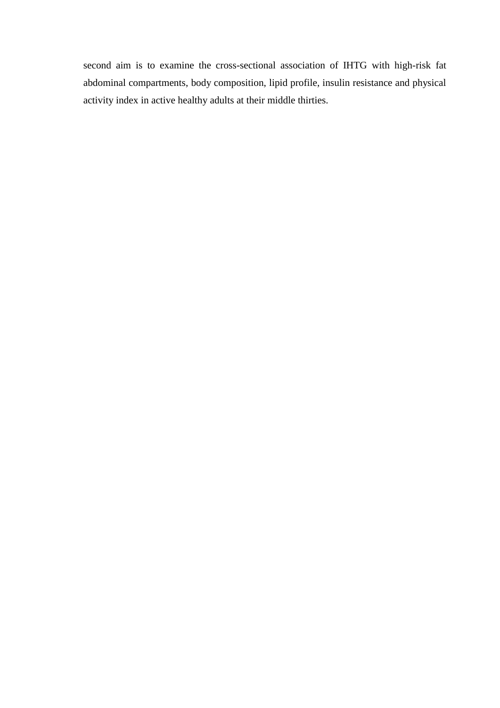second aim is to examine the cross-sectional association of IHTG with high-risk fat abdominal compartments, body composition, lipid profile, insulin resistance and physical activity index in active healthy adults at their middle thirties.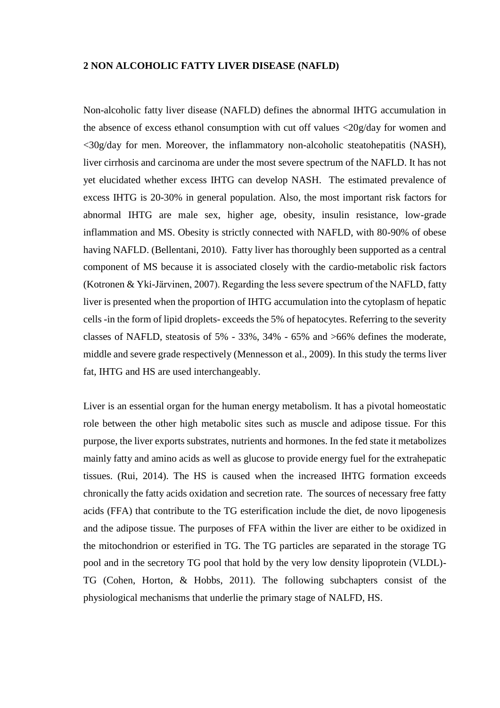#### <span id="page-8-0"></span>**2 NON ALCOHOLIC FATTY LIVER DISEASE (NAFLD)**

Non-alcoholic fatty liver disease (NAFLD) defines the abnormal IHTG accumulation in the absence of excess ethanol consumption with cut off values <20g/day for women and <30g/day for men. Moreover, the inflammatory non-alcoholic steatohepatitis (NASH), liver cirrhosis and carcinoma are under the most severe spectrum of the NAFLD. It has not yet elucidated whether excess IHTG can develop NASH. The estimated prevalence of excess IHTG is 20-30% in general population. Also, the most important risk factors for abnormal IHTG are male sex, higher age, obesity, insulin resistance, low-grade inflammation and MS. Obesity is strictly connected with NAFLD, with 80-90% of obese having NAFLD. (Bellentani, 2010). Fatty liver has thoroughly been supported as a central component of MS because it is associated closely with the cardio-metabolic risk factors (Kotronen & Yki-Järvinen, 2007). Regarding the less severe spectrum of the NAFLD, fatty liver is presented when the proportion of IHTG accumulation into the cytoplasm of hepatic cells -in the form of lipid droplets- exceeds the 5% of hepatocytes. Referring to the severity classes of NAFLD, steatosis of 5% - 33%, 34% - 65% and >66% defines the moderate, middle and severe grade respectively (Mennesson et al., 2009). In this study the terms liver fat, IHTG and HS are used interchangeably.

Liver is an essential organ for the human energy metabolism. It has a pivotal homeostatic role between the other high metabolic sites such as muscle and adipose tissue. For this purpose, the liver exports substrates, nutrients and hormones. In the fed state it metabolizes mainly fatty and amino acids as well as glucose to provide energy fuel for the extrahepatic tissues. (Rui, 2014). The HS is caused when the increased IHTG formation exceeds chronically the fatty acids oxidation and secretion rate. The sources of necessary free fatty acids (FFA) that contribute to the TG esterification include the diet, de novo lipogenesis and the adipose tissue. The purposes of FFA within the liver are either to be oxidized in the mitochondrion or esterified in TG. The TG particles are separated in the storage TG pool and in the secretory TG pool that hold by the very low density lipoprotein (VLDL)- TG (Cohen, Horton, & Hobbs, 2011). The following subchapters consist of the physiological mechanisms that underlie the primary stage of NALFD, HS.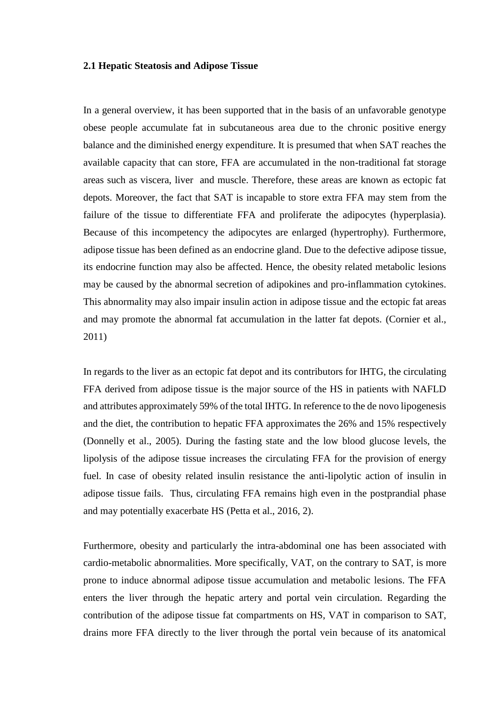#### <span id="page-9-0"></span>**2.1 Hepatic Steatosis and Adipose Tissue**

In a general overview, it has been supported that in the basis of an unfavorable genotype obese people accumulate fat in subcutaneous area due to the chronic positive energy balance and the diminished energy expenditure. It is presumed that when SAT reaches the available capacity that can store, FFA are accumulated in the non-traditional fat storage areas such as viscera, liver and muscle. Therefore, these areas are known as ectopic fat depots. Moreover, the fact that SAT is incapable to store extra FFA may stem from the failure of the tissue to differentiate FFA and proliferate the adipocytes (hyperplasia). Because of this incompetency the adipocytes are enlarged (hypertrophy). Furthermore, adipose tissue has been defined as an endocrine gland. Due to the defective adipose tissue, its endocrine function may also be affected. Hence, the obesity related metabolic lesions may be caused by the abnormal secretion of adipokines and pro-inflammation cytokines. This abnormality may also impair insulin action in adipose tissue and the ectopic fat areas and may promote the abnormal fat accumulation in the latter fat depots. (Cornier et al., 2011)

In regards to the liver as an ectopic fat depot and its contributors for IHTG, the circulating FFA derived from adipose tissue is the major source of the HS in patients with NAFLD and attributes approximately 59% of the total IHTG. In reference to the de novo lipogenesis and the diet, the contribution to hepatic FFA approximates the 26% and 15% respectively (Donnelly et al., 2005). During the fasting state and the low blood glucose levels, the lipolysis of the adipose tissue increases the circulating FFA for the provision of energy fuel. In case of obesity related insulin resistance the anti-lipolytic action of insulin in adipose tissue fails. Thus, circulating FFA remains high even in the postprandial phase and may potentially exacerbate HS (Petta et al., 2016, 2).

Furthermore, obesity and particularly the intra-abdominal one has been associated with cardio-metabolic abnormalities. More specifically, VAT, on the contrary to SAT, is more prone to induce abnormal adipose tissue accumulation and metabolic lesions. The FFA enters the liver through the hepatic artery and portal vein circulation. Regarding the contribution of the adipose tissue fat compartments on HS, VAT in comparison to SAT, drains more FFA directly to the liver through the portal vein because of its anatomical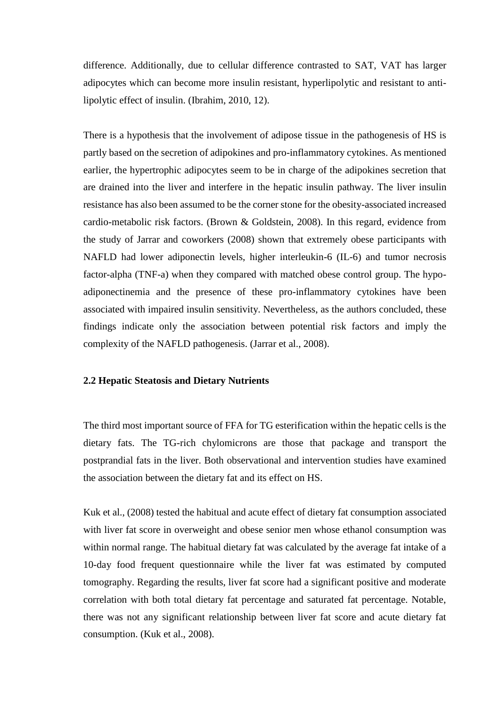difference. Additionally, due to cellular difference contrasted to SAT, VAT has larger adipocytes which can become more insulin resistant, hyperlipolytic and resistant to antilipolytic effect of insulin. (Ibrahim, 2010, 12).

There is a hypothesis that the involvement of adipose tissue in the pathogenesis of HS is partly based on the secretion of adipokines and pro-inflammatory cytokines. As mentioned earlier, the hypertrophic adipocytes seem to be in charge of the adipokines secretion that are drained into the liver and interfere in the hepatic insulin pathway. The liver insulin resistance has also been assumed to be the corner stone for the obesity-associated increased cardio-metabolic risk factors. (Brown & Goldstein, 2008). In this regard, evidence from the study of Jarrar and coworkers (2008) shown that extremely obese participants with NAFLD had lower adiponectin levels, higher interleukin-6 (IL-6) and tumor necrosis factor-alpha (TNF-a) when they compared with matched obese control group. The hypoadiponectinemia and the presence of these pro-inflammatory cytokines have been associated with impaired insulin sensitivity. Nevertheless, as the authors concluded, these findings indicate only the association between potential risk factors and imply the complexity of the NAFLD pathogenesis. (Jarrar et al., 2008).

#### <span id="page-10-0"></span>**2.2 Hepatic Steatosis and Dietary Nutrients**

The third most important source of FFA for TG esterification within the hepatic cells is the dietary fats. The TG-rich chylomicrons are those that package and transport the postprandial fats in the liver. Both observational and intervention studies have examined the association between the dietary fat and its effect on HS.

Kuk et al., (2008) tested the habitual and acute effect of dietary fat consumption associated with liver fat score in overweight and obese senior men whose ethanol consumption was within normal range. The habitual dietary fat was calculated by the average fat intake of a 10-day food frequent questionnaire while the liver fat was estimated by computed tomography. Regarding the results, liver fat score had a significant positive and moderate correlation with both total dietary fat percentage and saturated fat percentage. Notable, there was not any significant relationship between liver fat score and acute dietary fat consumption. (Kuk et al., 2008).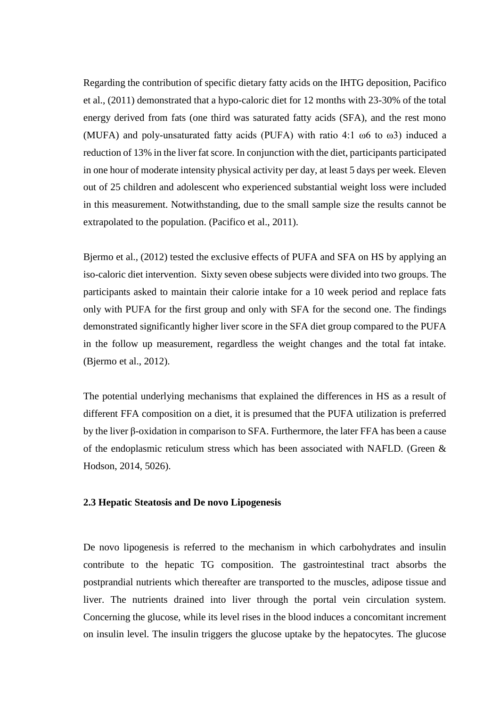Regarding the contribution of specific dietary fatty acids on the IHTG deposition, Pacifico et al., (2011) demonstrated that a hypo-caloric diet for 12 months with 23-30% of the total energy derived from fats (one third was saturated fatty acids (SFA), and the rest mono (MUFA) and poly-unsaturated fatty acids (PUFA) with ratio 4:1 ω6 to ω3) induced a reduction of 13% in the liver fat score. In conjunction with the diet, participants participated in one hour of moderate intensity physical activity per day, at least 5 days per week. Eleven out of 25 children and adolescent who experienced substantial weight loss were included in this measurement. Notwithstanding, due to the small sample size the results cannot be extrapolated to the population. (Pacifico et al., 2011).

Bjermo et al., (2012) tested the exclusive effects of PUFA and SFA on HS by applying an iso-caloric diet intervention. Sixty seven obese subjects were divided into two groups. The participants asked to maintain their calorie intake for a 10 week period and replace fats only with PUFA for the first group and only with SFA for the second one. The findings demonstrated significantly higher liver score in the SFA diet group compared to the PUFA in the follow up measurement, regardless the weight changes and the total fat intake. (Bjermo et al., 2012).

The potential underlying mechanisms that explained the differences in HS as a result of different FFA composition on a diet, it is presumed that the PUFA utilization is preferred by the liver β-oxidation in comparison to SFA. Furthermore, the later FFA has been a cause of the endoplasmic reticulum stress which has been associated with NAFLD. (Green & Hodson, 2014, 5026).

#### <span id="page-11-0"></span>**2.3 Hepatic Steatosis and De novo Lipogenesis**

De novo lipogenesis is referred to the mechanism in which carbohydrates and insulin contribute to the hepatic TG composition. The gastrointestinal tract absorbs the postprandial nutrients which thereafter are transported to the muscles, adipose tissue and liver. The nutrients drained into liver through the portal vein circulation system. Concerning the glucose, while its level rises in the blood induces a concomitant increment on insulin level. The insulin triggers the glucose uptake by the hepatocytes. The glucose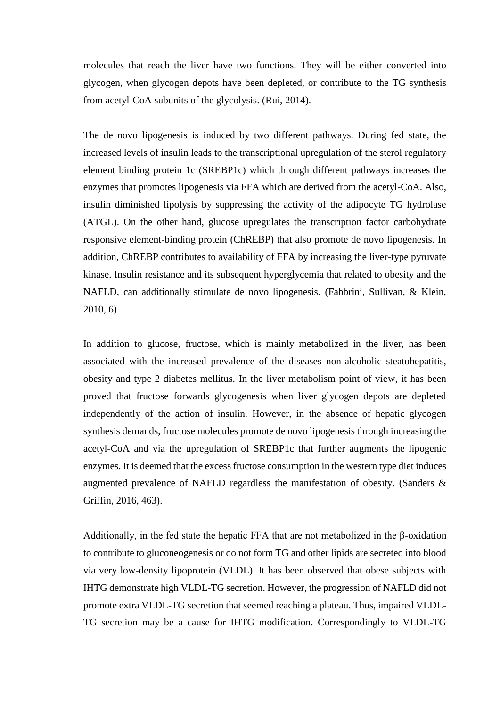molecules that reach the liver have two functions. They will be either converted into glycogen, when glycogen depots have been depleted, or contribute to the TG synthesis from acetyl-CoA subunits of the glycolysis. (Rui, 2014).

The de novo lipogenesis is induced by two different pathways. During fed state, the increased levels of insulin leads to the transcriptional upregulation of the sterol regulatory element binding protein 1c (SREBP1c) which through different pathways increases the enzymes that promotes lipogenesis via FFA which are derived from the acetyl-CoA. Also, insulin diminished lipolysis by suppressing the activity of the adipocyte TG hydrolase (ATGL). On the other hand, glucose upregulates the transcription factor carbohydrate responsive element-binding protein (ChREBP) that also promote de novo lipogenesis. In addition, ChREBP contributes to availability of FFA by increasing the liver-type pyruvate kinase. Insulin resistance and its subsequent hyperglycemia that related to obesity and the NAFLD, can additionally stimulate de novo lipogenesis. (Fabbrini, Sullivan, & Klein, 2010, 6)

In addition to glucose, fructose, which is mainly metabolized in the liver, has been associated with the increased prevalence of the diseases non-alcoholic steatohepatitis, obesity and type 2 diabetes mellitus. In the liver metabolism point of view, it has been proved that fructose forwards glycogenesis when liver glycogen depots are depleted independently of the action of insulin. However, in the absence of hepatic glycogen synthesis demands, fructose molecules promote de novo lipogenesis through increasing the acetyl-CoA and via the upregulation of SREBP1c that further augments the lipogenic enzymes. It is deemed that the excess fructose consumption in the western type diet induces augmented prevalence of NAFLD regardless the manifestation of obesity. (Sanders & Griffin, 2016, 463).

Additionally, in the fed state the hepatic FFA that are not metabolized in the β-oxidation to contribute to gluconeogenesis or do not form TG and other lipids are secreted into blood via very low-density lipoprotein (VLDL). It has been observed that obese subjects with IHTG demonstrate high VLDL-TG secretion. However, the progression of NAFLD did not promote extra VLDL-TG secretion that seemed reaching a plateau. Thus, impaired VLDL-TG secretion may be a cause for IHTG modification. Correspondingly to VLDL-TG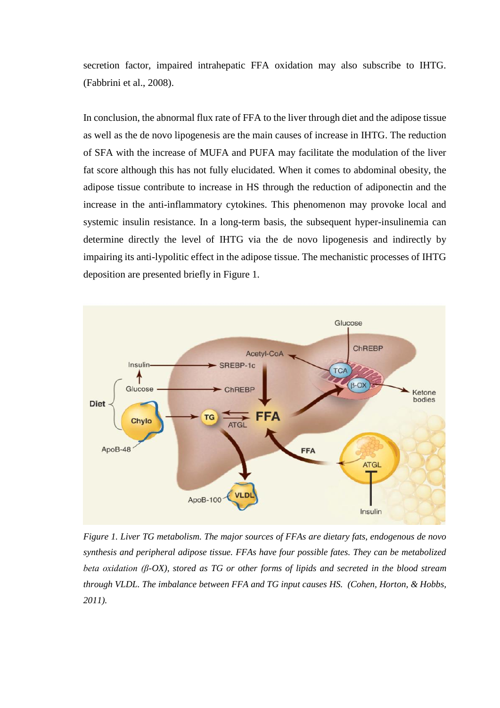secretion factor, impaired intrahepatic FFA oxidation may also subscribe to IHTG. (Fabbrini et al., 2008).

In conclusion, the abnormal flux rate of FFA to the liver through diet and the adipose tissue as well as the de novo lipogenesis are the main causes of increase in IHTG. The reduction of SFA with the increase of MUFA and PUFA may facilitate the modulation of the liver fat score although this has not fully elucidated. When it comes to abdominal obesity, the adipose tissue contribute to increase in HS through the reduction of adiponectin and the increase in the anti-inflammatory cytokines. This phenomenon may provoke local and systemic insulin resistance. In a long-term basis, the subsequent hyper-insulinemia can determine directly the level of IHTG via the de novo lipogenesis and indirectly by impairing its anti-lypolitic effect in the adipose tissue. The mechanistic processes of IHTG deposition are presented briefly in Figure 1.



*Figure 1. Liver TG metabolism. The major sources of FFAs are dietary fats, endogenous de novo synthesis and peripheral adipose tissue. FFAs have four possible fates. They can be metabolized beta oxidation (β-OX), stored as TG or other forms of lipids and secreted in the blood stream through VLDL. The imbalance between FFA and TG input causes HS. (Cohen, Horton, & Hobbs, 2011).*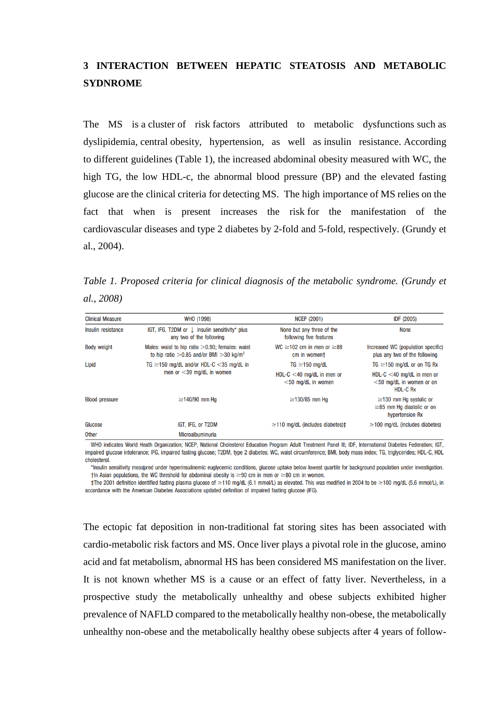## <span id="page-14-0"></span>**3 INTERACTION BETWEEN HEPATIC STEATOSIS AND METABOLIC SYDNROME**

The MS is a cluster of risk factors attributed to metabolic dysfunctions such as dyslipidemia, central obesity, hypertension, as well as insulin resistance. According to different guidelines (Table 1), the increased abdominal obesity measured with WC, the high TG, the low HDL-c, the abnormal blood pressure (BP) and the elevated fasting glucose are the clinical criteria for detecting MS. The high importance of MS relies on the fact that when is present increases the risk for the manifestation of the cardiovascular diseases and type 2 diabetes by 2-fold and 5-fold, respectively. (Grundy et al., 2004).

*Table 1. Proposed criteria for clinical diagnosis of the metabolic syndrome. (Grundy et al., 2008)*

| <b>Clinical Measure</b> | WHO (1998)                                                                                                    | <b>NCEP (2001)</b>                                    | IDF (2005)                                                                         |
|-------------------------|---------------------------------------------------------------------------------------------------------------|-------------------------------------------------------|------------------------------------------------------------------------------------|
| Insulin resistance      | IGT, IFG, T2DM or $\downarrow$ insulin sensitivity* plus<br>any two of the following                          | None but any three of the<br>following five features  | None                                                                               |
| <b>Body weight</b>      | Males: waist to hip ratio $>0.90$ ; females: waist<br>to hip ratio $>0.85$ and/or BMI $>30$ kg/m <sup>2</sup> | WC $\geq$ 102 cm in men or $\geq$ 88<br>cm in woment  | Increased WC (population specific)<br>plus any two of the following                |
| Lipid                   | TG $\geq$ 150 mg/dL and/or HDL-C <35 mg/dL in<br>men or $<$ 39 mg/dL in women                                 | $TG \geq 150$ mg/dL                                   | TG $\geq$ 150 mg/dL or on TG Rx                                                    |
|                         |                                                                                                               | HDL-C $<$ 40 mg/dL in men or<br>$<$ 50 mg/dL in women | HDL-C $<$ 40 mg/dL in men or<br>$<$ 50 mg/dL in women or on<br>HDL-C Rx            |
| <b>Blood pressure</b>   | $\geq$ 140/90 mm Hq                                                                                           | $\geq$ 130/85 mm Hq                                   | $\geq$ 130 mm Hg systolic or<br>$\geq$ 85 mm Hg diastolic or on<br>hypertension Rx |
| Glucose                 | IGT, IFG, or T2DM                                                                                             | $\geq$ 110 mg/dL (includes diabetes) $\pm$            | $\geq$ 100 mg/dL (includes diabetes)                                               |
| <b>Other</b>            | Microalbuminuria                                                                                              |                                                       |                                                                                    |

WHO indicates World Heath Organization; NCEP, National Cholesterol Education Program Adult Treatment Panel III; IDF, International Diabetes Federation; IGT, impaired glucose intolerance; IFG, impaired fasting glucose; T2DM, type 2 diabetes; WC, waist circumference; BMI, body mass index; TG, triglycerides; HDL-C, HDL cholesterol.

\*Insulin sensitivity measured under hyperinsulinemic euglycemic conditions, glucose uptake below lowest quartile for background population under investigation. †In Asian populations, the WC threshold for abdominal obesity is ≥90 cm in men or ≥80 cm in women.

‡The 2001 definition identified fasting plasma glucose of ≥110 mg/dL (6.1 mmol/L) as elevated. This was modified in 2004 to be ≥100 mg/dL (5.6 mmol/L), in accordance with the American Diabetes Associations updated definition of impaired fasting glucose (IFG).

The ectopic fat deposition in non-traditional fat storing sites has been associated with cardio-metabolic risk factors and MS. Once liver plays a pivotal role in the glucose, amino acid and fat metabolism, abnormal HS has been considered MS manifestation on the liver. It is not known whether MS is a cause or an effect of fatty liver. Nevertheless, in a prospective study the metabolically unhealthy and obese subjects exhibited higher prevalence of NAFLD compared to the metabolically healthy non-obese, the metabolically unhealthy non-obese and the metabolically healthy obese subjects after 4 years of follow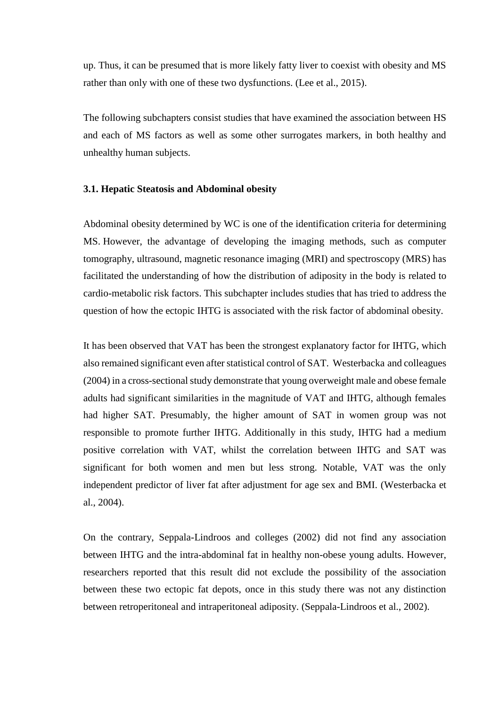up. Thus, it can be presumed that is more likely fatty liver to coexist with obesity and MS rather than only with one of these two dysfunctions. (Lee et al., 2015).

The following subchapters consist studies that have examined the association between HS and each of MS factors as well as some other surrogates markers, in both healthy and unhealthy human subjects.

#### <span id="page-15-0"></span>**3.1. Hepatic Steatosis and Abdominal obesity**

Abdominal obesity determined by WC is one of the identification criteria for determining MS. However, the advantage of developing the imaging methods, such as computer tomography, ultrasound, magnetic resonance imaging (MRI) and spectroscopy (MRS) has facilitated the understanding of how the distribution of adiposity in the body is related to cardio-metabolic risk factors. This subchapter includes studies that has tried to address the question of how the ectopic IHTG is associated with the risk factor of abdominal obesity.

It has been observed that VAT has been the strongest explanatory factor for IHTG, which also remained significant even after statistical control of SAT. Westerbacka and colleagues (2004) in a cross-sectional study demonstrate that young overweight male and obese female adults had significant similarities in the magnitude of VAT and IHTG, although females had higher SAT. Presumably, the higher amount of SAT in women group was not responsible to promote further IHTG. Additionally in this study, IHTG had a medium positive correlation with VAT, whilst the correlation between IHTG and SAT was significant for both women and men but less strong. Notable, VAT was the only independent predictor of liver fat after adjustment for age sex and BMI. (Westerbacka et al., 2004).

On the contrary, Seppala-Lindroos and colleges (2002) did not find any association between IHTG and the intra-abdominal fat in healthy non-obese young adults. However, researchers reported that this result did not exclude the possibility of the association between these two ectopic fat depots, once in this study there was not any distinction between retroperitoneal and intraperitoneal adiposity. (Seppala-Lindroos et al., 2002).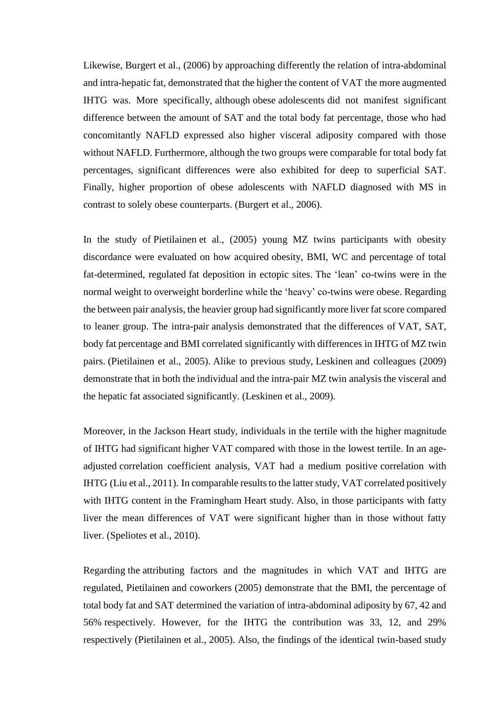Likewise, Burgert et al., (2006) by approaching differently the relation of intra-abdominal and intra-hepatic fat, demonstrated that the higher the content of VAT the more augmented IHTG was. More specifically, although obese adolescents did not manifest significant difference between the amount of SAT and the total body fat percentage, those who had concomitantly NAFLD expressed also higher visceral adiposity compared with those without NAFLD. Furthermore, although the two groups were comparable for total body fat percentages, significant differences were also exhibited for deep to superficial SAT. Finally, higher proportion of obese adolescents with NAFLD diagnosed with MS in contrast to solely obese counterparts. (Burgert et al., 2006).

In the study of Pietilainen et al., (2005) young MZ twins participants with obesity discordance were evaluated on how acquired obesity, BMI, WC and percentage of total fat-determined, regulated fat deposition in ectopic sites. The 'lean' co-twins were in the normal weight to overweight borderline while the 'heavy' co-twins were obese. Regarding the between pair analysis, the heavier group had significantly more liver fat score compared to leaner group. The intra-pair analysis demonstrated that the differences of VAT, SAT, body fat percentage and BMI correlated significantly with differences in IHTG of MZ twin pairs. (Pietilainen et al., 2005). Alike to previous study, Leskinen and colleagues (2009) demonstrate that in both the individual and the intra-pair MZ twin analysis the visceral and the hepatic fat associated significantly. (Leskinen et al., 2009).

Moreover, in the Jackson Heart study, individuals in the tertile with the higher magnitude of IHTG had significant higher VAT compared with those in the lowest tertile. In an ageadjusted correlation coefficient analysis, VAT had a medium positive correlation with IHTG (Liu et al., 2011). In comparable results to the latter study, VAT correlated positively with IHTG content in the Framingham Heart study. Also, in those participants with fatty liver the mean differences of VAT were significant higher than in those without fatty liver. (Speliotes et al., 2010).

Regarding the attributing factors and the magnitudes in which VAT and IHTG are regulated, Pietilainen and coworkers (2005) demonstrate that the BMI, the percentage of total body fat and SAT determined the variation of intra-abdominal adiposity by 67, 42 and 56% respectively. However, for the IHTG the contribution was 33, 12, and 29% respectively (Pietilainen et al., 2005). Also, the findings of the identical twin-based study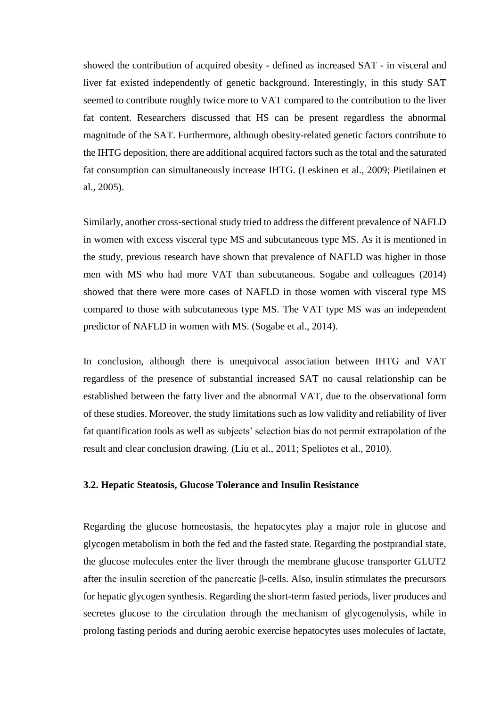showed the contribution of acquired obesity - defined as increased SAT - in visceral and liver fat existed independently of genetic background. Interestingly, in this study SAT seemed to contribute roughly twice more to VAT compared to the contribution to the liver fat content. Researchers discussed that HS can be present regardless the abnormal magnitude of the SAT. Furthermore, although obesity-related genetic factors contribute to the IHTG deposition, there are additional acquired factors such as the total and the saturated fat consumption can simultaneously increase IHTG. (Leskinen et al., 2009; Pietilainen et al., 2005).

Similarly, another cross-sectional study tried to address the different prevalence of NAFLD in women with excess visceral type MS and subcutaneous type MS. As it is mentioned in the study, previous research have shown that prevalence of NAFLD was higher in those men with MS who had more VAT than subcutaneous. Sogabe and colleagues (2014) showed that there were more cases of NAFLD in those women with visceral type MS compared to those with subcutaneous type MS. The VAT type MS was an independent predictor of NAFLD in women with MS. (Sogabe et al., 2014).

In conclusion, although there is unequivocal association between IHTG and VAT regardless of the presence of substantial increased SAT no causal relationship can be established between the fatty liver and the abnormal VAT, due to the observational form of these studies. Moreover, the study limitations such as low validity and reliability of liver fat quantification tools as well as subjects' selection bias do not permit extrapolation of the result and clear conclusion drawing. (Liu et al., 2011; Speliotes et al., 2010).

#### <span id="page-17-0"></span>**3.2. Hepatic Steatosis, Glucose Tolerance and Insulin Resistance**

Regarding the glucose homeostasis, the hepatocytes play a major role in glucose and glycogen metabolism in both the fed and the fasted state. Regarding the postprandial state, the glucose molecules enter the liver through the membrane glucose transporter GLUT2 after the insulin secretion of the pancreatic β-cells. Also, insulin stimulates the precursors for hepatic glycogen synthesis. Regarding the short-term fasted periods, liver produces and secretes glucose to the circulation through the mechanism of glycogenolysis, while in prolong fasting periods and during aerobic exercise hepatocytes uses molecules of lactate,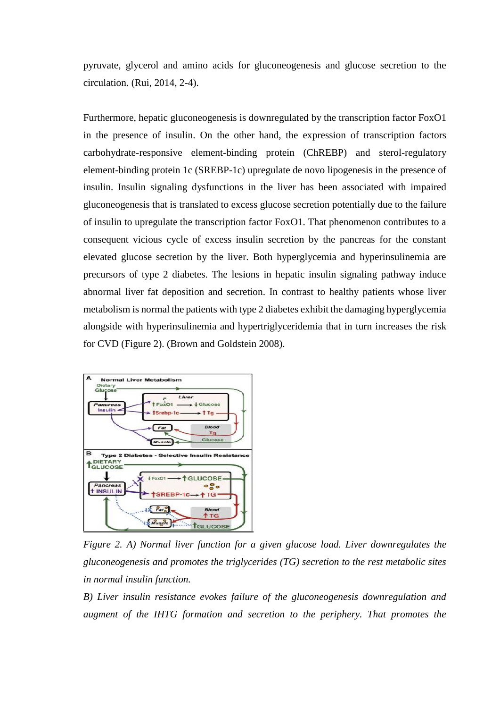pyruvate, glycerol and amino acids for gluconeogenesis and glucose secretion to the circulation. (Rui, 2014, 2-4).

Furthermore, hepatic gluconeogenesis is downregulated by the transcription factor FoxO1 in the presence of insulin. On the other hand, the expression of transcription factors carbohydrate-responsive element-binding protein (ChREBP) and sterol-regulatory element-binding protein 1c (SREBP-1c) upregulate de novo lipogenesis in the presence of insulin. Insulin signaling dysfunctions in the liver has been associated with impaired gluconeogenesis that is translated to excess glucose secretion potentially due to the failure of insulin to upregulate the transcription factor FoxO1. That phenomenon contributes to a consequent vicious cycle of excess insulin secretion by the pancreas for the constant elevated glucose secretion by the liver. Both hyperglycemia and hyperinsulinemia are precursors of type 2 diabetes. The lesions in hepatic insulin signaling pathway induce abnormal liver fat deposition and secretion. In contrast to healthy patients whose liver metabolism is normal the patients with type 2 diabetes exhibit the damaging hyperglycemia alongside with hyperinsulinemia and hypertriglyceridemia that in turn increases the risk for CVD (Figure 2). (Brown and Goldstein 2008).



*Figure 2. A) Normal liver function for a given glucose load. Liver downregulates the gluconeogenesis and promotes the triglycerides (TG) secretion to the rest metabolic sites in normal insulin function.* 

*B) Liver insulin resistance evokes failure of the gluconeogenesis downregulation and augment of the IHTG formation and secretion to the periphery. That promotes the*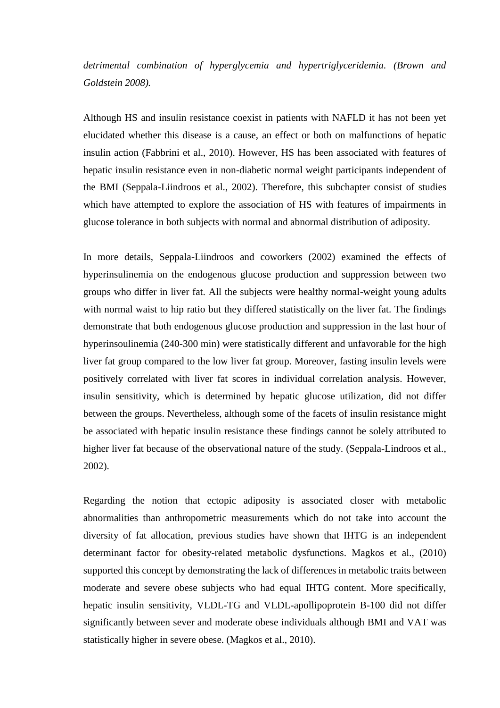*detrimental combination of hyperglycemia and hypertriglyceridemia. (Brown and Goldstein 2008).* 

Although HS and insulin resistance coexist in patients with NAFLD it has not been yet elucidated whether this disease is a cause, an effect or both on malfunctions of hepatic insulin action (Fabbrini et al., 2010). However, HS has been associated with features of hepatic insulin resistance even in non-diabetic normal weight participants independent of the BMI (Seppala-Liindroos et al., 2002). Therefore, this subchapter consist of studies which have attempted to explore the association of HS with features of impairments in glucose tolerance in both subjects with normal and abnormal distribution of adiposity.

In more details, Seppala-Liindroos and coworkers (2002) examined the effects of hyperinsulinemia on the endogenous glucose production and suppression between two groups who differ in liver fat. All the subjects were healthy normal-weight young adults with normal waist to hip ratio but they differed statistically on the liver fat. The findings demonstrate that both endogenous glucose production and suppression in the last hour of hyperinsoulinemia (240-300 min) were statistically different and unfavorable for the high liver fat group compared to the low liver fat group. Moreover, fasting insulin levels were positively correlated with liver fat scores in individual correlation analysis. However, insulin sensitivity, which is determined by hepatic glucose utilization, did not differ between the groups. Nevertheless, although some of the facets of insulin resistance might be associated with hepatic insulin resistance these findings cannot be solely attributed to higher liver fat because of the observational nature of the study. (Seppala-Lindroos et al., 2002).

Regarding the notion that ectopic adiposity is associated closer with metabolic abnormalities than anthropometric measurements which do not take into account the diversity of fat allocation, previous studies have shown that IHTG is an independent determinant factor for obesity-related metabolic dysfunctions. Magkos et al., (2010) supported this concept by demonstrating the lack of differences in metabolic traits between moderate and severe obese subjects who had equal IHTG content. More specifically, hepatic insulin sensitivity, VLDL-TG and VLDL-apollipoprotein B-100 did not differ significantly between sever and moderate obese individuals although BMI and VAT was statistically higher in severe obese. (Magkos et al., 2010).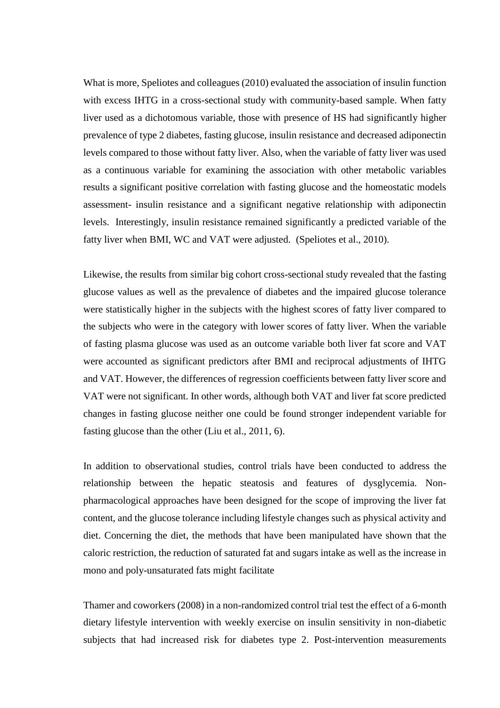What is more, Speliotes and colleagues (2010) evaluated the association of insulin function with excess IHTG in a cross-sectional study with community-based sample. When fatty liver used as a dichotomous variable, those with presence of HS had significantly higher prevalence of type 2 diabetes, fasting glucose, insulin resistance and decreased adiponectin levels compared to those without fatty liver. Also, when the variable of fatty liver was used as a continuous variable for examining the association with other metabolic variables results a significant positive correlation with fasting glucose and the homeostatic models assessment- insulin resistance and a significant negative relationship with adiponectin levels. Interestingly, insulin resistance remained significantly a predicted variable of the fatty liver when BMI, WC and VAT were adjusted. (Speliotes et al., 2010).

Likewise, the results from similar big cohort cross-sectional study revealed that the fasting glucose values as well as the prevalence of diabetes and the impaired glucose tolerance were statistically higher in the subjects with the highest scores of fatty liver compared to the subjects who were in the category with lower scores of fatty liver. When the variable of fasting plasma glucose was used as an outcome variable both liver fat score and VAT were accounted as significant predictors after BMI and reciprocal adjustments of IHTG and VAT. However, the differences of regression coefficients between fatty liver score and VAT were not significant. In other words, although both VAT and liver fat score predicted changes in fasting glucose neither one could be found stronger independent variable for fasting glucose than the other (Liu et al., 2011, 6).

In addition to observational studies, control trials have been conducted to address the relationship between the hepatic steatosis and features of dysglycemia. Nonpharmacological approaches have been designed for the scope of improving the liver fat content, and the glucose tolerance including lifestyle changes such as physical activity and diet. Concerning the diet, the methods that have been manipulated have shown that the caloric restriction, the reduction of saturated fat and sugars intake as well as the increase in mono and poly-unsaturated fats might facilitate

Thamer and coworkers (2008) in a non-randomized control trial test the effect of a 6-month dietary lifestyle intervention with weekly exercise on insulin sensitivity in non-diabetic subjects that had increased risk for diabetes type 2. Post-intervention measurements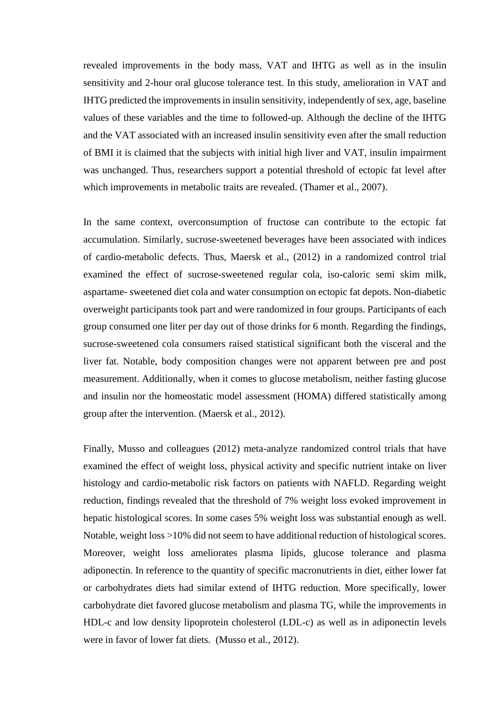revealed improvements in the body mass, VAT and IHTG as well as in the insulin sensitivity and 2-hour oral glucose tolerance test. In this study, amelioration in VAT and IHTG predicted the improvements in insulin sensitivity, independently of sex, age, baseline values of these variables and the time to followed-up. Although the decline of the IHTG and the VAT associated with an increased insulin sensitivity even after the small reduction of BMI it is claimed that the subjects with initial high liver and VAT, insulin impairment was unchanged. Thus, researchers support a potential threshold of ectopic fat level after which improvements in metabolic traits are revealed. (Thamer et al., 2007).

In the same context, overconsumption of fructose can contribute to the ectopic fat accumulation. Similarly, sucrose-sweetened beverages have been associated with indices of cardio-metabolic defects. Thus, Maersk et al., (2012) in a randomized control trial examined the effect of sucrose-sweetened regular cola, iso-caloric semi skim milk, aspartame- sweetened diet cola and water consumption on ectopic fat depots. Non-diabetic overweight participants took part and were randomized in four groups. Participants of each group consumed one liter per day out of those drinks for 6 month. Regarding the findings, sucrose-sweetened cola consumers raised statistical significant both the visceral and the liver fat. Notable, body composition changes were not apparent between pre and post measurement. Additionally, when it comes to glucose metabolism, neither fasting glucose and insulin nor the homeostatic model assessment (HOMA) differed statistically among group after the intervention. (Maersk et al., 2012).

Finally, Musso and colleagues (2012) meta-analyze randomized control trials that have examined the effect of weight loss, physical activity and specific nutrient intake on liver histology and cardio-metabolic risk factors on patients with NAFLD. Regarding weight reduction, findings revealed that the threshold of 7% weight loss evoked improvement in hepatic histological scores. In some cases 5% weight loss was substantial enough as well. Notable, weight loss >10% did not seem to have additional reduction of histological scores. Moreover, weight loss ameliorates plasma lipids, glucose tolerance and plasma adiponectin. In reference to the quantity of specific macronutrients in diet, either lower fat or carbohydrates diets had similar extend of IHTG reduction. More specifically, lower carbohydrate diet favored glucose metabolism and plasma TG, while the improvements in HDL-c and low density lipoprotein cholesterol (LDL-c) as well as in adiponectin levels were in favor of lower fat diets. (Musso et al., 2012).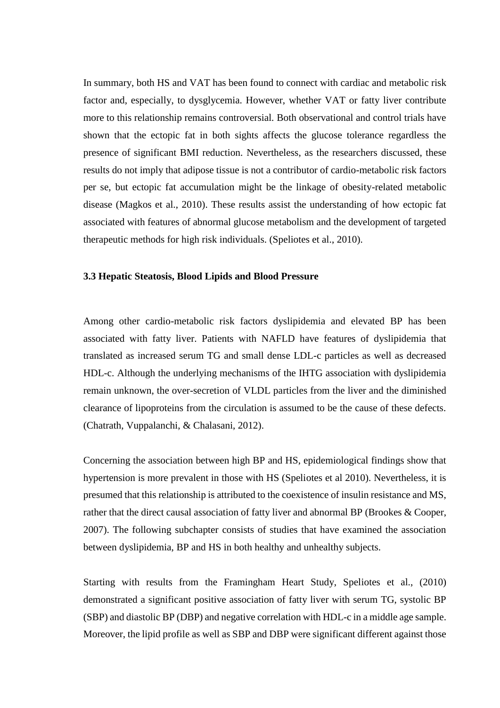In summary, both HS and VAT has been found to connect with cardiac and metabolic risk factor and, especially, to dysglycemia. However, whether VAT or fatty liver contribute more to this relationship remains controversial. Both observational and control trials have shown that the ectopic fat in both sights affects the glucose tolerance regardless the presence of significant BMI reduction. Nevertheless, as the researchers discussed, these results do not imply that adipose tissue is not a contributor of cardio-metabolic risk factors per se, but ectopic fat accumulation might be the linkage of obesity-related metabolic disease (Magkos et al., 2010). These results assist the understanding of how ectopic fat associated with features of abnormal glucose metabolism and the development of targeted therapeutic methods for high risk individuals. (Speliotes et al., 2010).

#### <span id="page-22-0"></span>**3.3 Hepatic Steatosis, Blood Lipids and Blood Pressure**

Among other cardio-metabolic risk factors dyslipidemia and elevated BP has been associated with fatty liver. Patients with NAFLD have features of dyslipidemia that translated as increased serum TG and small dense LDL-c particles as well as decreased HDL-c. Although the underlying mechanisms of the IHTG association with dyslipidemia remain unknown, the over-secretion of VLDL particles from the liver and the diminished clearance of lipoproteins from the circulation is assumed to be the cause of these defects. (Chatrath, Vuppalanchi, & Chalasani, 2012).

Concerning the association between high BP and HS, epidemiological findings show that hypertension is more prevalent in those with HS (Speliotes et al 2010). Nevertheless, it is presumed that this relationship is attributed to the coexistence of insulin resistance and MS, rather that the direct causal association of fatty liver and abnormal BP (Brookes & Cooper, 2007). The following subchapter consists of studies that have examined the association between dyslipidemia, BP and HS in both healthy and unhealthy subjects.

Starting with results from the Framingham Heart Study, Speliotes et al., (2010) demonstrated a significant positive association of fatty liver with serum TG, systolic BP (SBP) and diastolic BP (DBP) and negative correlation with HDL-c in a middle age sample. Moreover, the lipid profile as well as SBP and DBP were significant different against those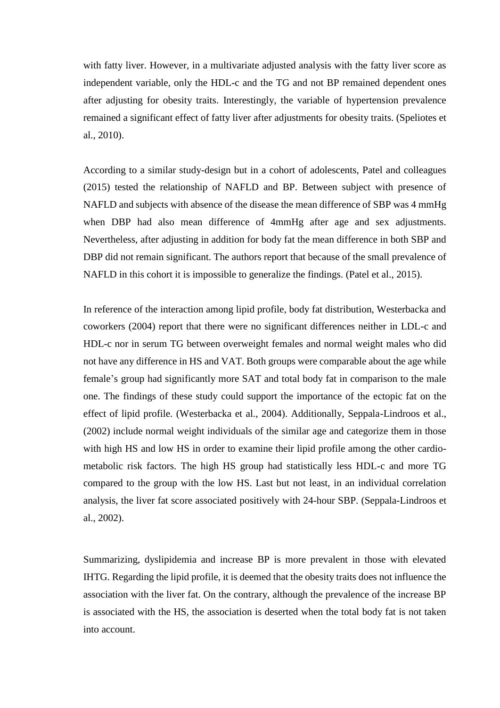with fatty liver. However, in a multivariate adjusted analysis with the fatty liver score as independent variable, only the HDL-c and the TG and not BP remained dependent ones after adjusting for obesity traits. Interestingly, the variable of hypertension prevalence remained a significant effect of fatty liver after adjustments for obesity traits. (Speliotes et al., 2010).

According to a similar study-design but in a cohort of adolescents, Patel and colleagues (2015) tested the relationship of NAFLD and BP. Between subject with presence of NAFLD and subjects with absence of the disease the mean difference of SBP was 4 mmHg when DBP had also mean difference of 4mmHg after age and sex adjustments. Nevertheless, after adjusting in addition for body fat the mean difference in both SBP and DBP did not remain significant. The authors report that because of the small prevalence of NAFLD in this cohort it is impossible to generalize the findings. (Patel et al., 2015).

In reference of the interaction among lipid profile, body fat distribution, Westerbacka and coworkers (2004) report that there were no significant differences neither in LDL-c and HDL-c nor in serum TG between overweight females and normal weight males who did not have any difference in HS and VAT. Both groups were comparable about the age while female's group had significantly more SAT and total body fat in comparison to the male one. The findings of these study could support the importance of the ectopic fat on the effect of lipid profile. (Westerbacka et al., 2004). Additionally, Seppala-Lindroos et al., (2002) include normal weight individuals of the similar age and categorize them in those with high HS and low HS in order to examine their lipid profile among the other cardiometabolic risk factors. The high HS group had statistically less HDL-c and more TG compared to the group with the low HS. Last but not least, in an individual correlation analysis, the liver fat score associated positively with 24-hour SBP. (Seppala-Lindroos et al., 2002).

<span id="page-23-0"></span>Summarizing, dyslipidemia and increase BP is more prevalent in those with elevated IHTG. Regarding the lipid profile, it is deemed that the obesity traits does not influence the association with the liver fat. On the contrary, although the prevalence of the increase BP is associated with the HS, the association is deserted when the total body fat is not taken into account.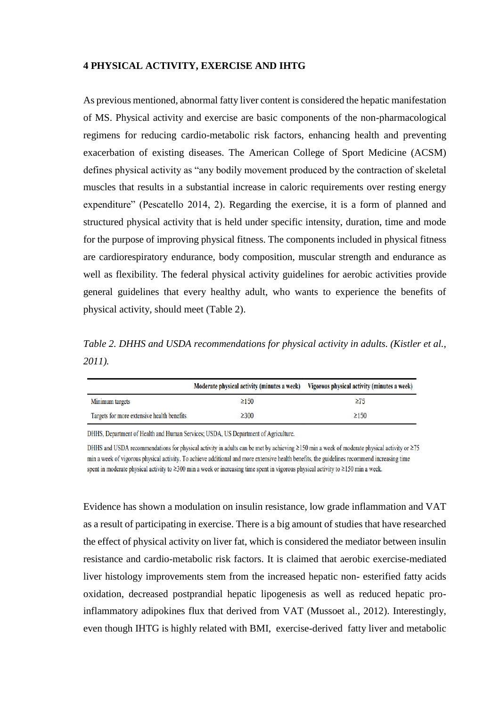#### **4 PHYSICAL ACTIVITY, EXERCISE AND IHTG**

As previous mentioned, abnormal fatty liver content is considered the hepatic manifestation of MS. Physical activity and exercise are basic components of the non-pharmacological regimens for reducing cardio-metabolic risk factors, enhancing health and preventing exacerbation of existing diseases. The American College of Sport Medicine (ACSM) defines physical activity as "any bodily movement produced by the contraction of skeletal muscles that results in a substantial increase in caloric requirements over resting energy expenditure" (Pescatello 2014, 2). Regarding the exercise, it is a form of planned and structured physical activity that is held under specific intensity, duration, time and mode for the purpose of improving physical fitness. The components included in physical fitness are cardiorespiratory endurance, body composition, muscular strength and endurance as well as flexibility. The federal physical activity guidelines for aerobic activities provide general guidelines that every healthy adult, who wants to experience the benefits of physical activity, should meet (Table 2).

*Table 2. DHHS and USDA recommendations for physical activity in adults. (Kistler et al., 2011).* 

|                                            | Moderate physical activity (minutes a week) Vigorous physical activity (minutes a week) |            |
|--------------------------------------------|-----------------------------------------------------------------------------------------|------------|
| Minimum targets                            | $\geq$ 150                                                                              | $\geq 75$  |
| Targets for more extensive health benefits | $\geq$ 300                                                                              | $\geq$ 150 |

DHHS, Department of Health and Human Services; USDA, US Department of Agriculture.

DHHS and USDA recommendations for physical activity in adults can be met by achieving  $\geq$ 150 min a week of moderate physical activity or  $\geq$ 75 min a week of vigorous physical activity. To achieve additional and more extensive health benefits, the guidelines recommend increasing time spent in moderate physical activity to ≥300 min a week or increasing time spent in vigorous physical activity to ≥150 min a week.

Evidence has shown a modulation on insulin resistance, low grade inflammation and VAT as a result of participating in exercise. There is a big amount of studies that have researched the effect of physical activity on liver fat, which is considered the mediator between insulin resistance and cardio-metabolic risk factors. It is claimed that aerobic exercise-mediated liver histology improvements stem from the increased hepatic non- esterified fatty acids oxidation, decreased postprandial hepatic lipogenesis as well as reduced hepatic proinflammatory adipokines flux that derived from VAT (Mussoet al., 2012). Interestingly, even though IHTG is highly related with BMI, exercise-derived fatty liver and metabolic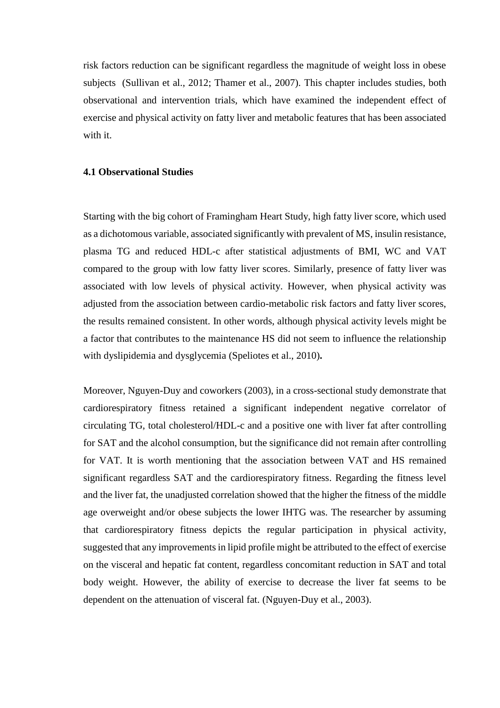risk factors reduction can be significant regardless the magnitude of weight loss in obese subjects (Sullivan et al., 2012; Thamer et al., 2007). Τhis chapter includes studies, both observational and intervention trials, which have examined the independent effect of exercise and physical activity on fatty liver and metabolic features that has been associated with it.

#### <span id="page-25-0"></span>**4.1 Observational Studies**

Starting with the big cohort of Framingham Heart Study, high fatty liver score, which used as a dichotomous variable, associated significantly with prevalent of MS, insulin resistance, plasma TG and reduced HDL-c after statistical adjustments of BMI, WC and VAT compared to the group with low fatty liver scores. Similarly, presence of fatty liver was associated with low levels of physical activity. However, when physical activity was adjusted from the association between cardio-metabolic risk factors and fatty liver scores, the results remained consistent. In other words, although physical activity levels might be a factor that contributes to the maintenance HS did not seem to influence the relationship with dyslipidemia and dysglycemia (Speliotes et al., 2010)**.**

Moreover, Nguyen-Duy and coworkers (2003), in a cross-sectional study demonstrate that cardiorespiratory fitness retained a significant independent negative correlator of circulating TG, total cholesterol/HDL-c and a positive one with liver fat after controlling for SAT and the alcohol consumption, but the significance did not remain after controlling for VAT. It is worth mentioning that the association between VAT and HS remained significant regardless SAT and the cardiorespiratory fitness. Regarding the fitness level and the liver fat, the unadjusted correlation showed that the higher the fitness of the middle age overweight and/or obese subjects the lower IHTG was. The researcher by assuming that cardiorespiratory fitness depicts the regular participation in physical activity, suggested that any improvements in lipid profile might be attributed to the effect of exercise on the visceral and hepatic fat content, regardless concomitant reduction in SAT and total body weight. However, the ability of exercise to decrease the liver fat seems to be dependent on the attenuation of visceral fat. (Nguyen-Duy et al., 2003).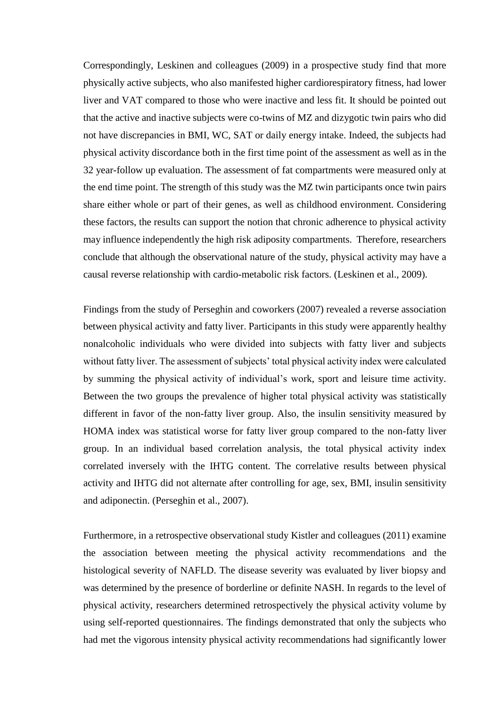Correspondingly, Leskinen and colleagues (2009) in a prospective study find that more physically active subjects, who also manifested higher cardiorespiratory fitness, had lower liver and VAT compared to those who were inactive and less fit. It should be pointed out that the active and inactive subjects were co-twins of MZ and dizygotic twin pairs who did not have discrepancies in BMI, WC, SAT or daily energy intake. Indeed, the subjects had physical activity discordance both in the first time point of the assessment as well as in the 32 year-follow up evaluation. The assessment of fat compartments were measured only at the end time point. The strength of this study was the MZ twin participants once twin pairs share either whole or part of their genes, as well as childhood environment. Considering these factors, the results can support the notion that chronic adherence to physical activity may influence independently the high risk adiposity compartments. Therefore, researchers conclude that although the observational nature of the study, physical activity may have a causal reverse relationship with cardio-metabolic risk factors. (Leskinen et al., 2009).

Findings from the study of Perseghin and coworkers (2007) revealed a reverse association between physical activity and fatty liver. Participants in this study were apparently healthy nonalcoholic individuals who were divided into subjects with fatty liver and subjects without fatty liver. The assessment of subjects' total physical activity index were calculated by summing the physical activity of individual's work, sport and leisure time activity. Between the two groups the prevalence of higher total physical activity was statistically different in favor of the non-fatty liver group. Also, the insulin sensitivity measured by HOMA index was statistical worse for fatty liver group compared to the non-fatty liver group. In an individual based correlation analysis, the total physical activity index correlated inversely with the IHTG content. The correlative results between physical activity and IHTG did not alternate after controlling for age, sex, BMI, insulin sensitivity and adiponectin. (Perseghin et al., 2007).

Furthermore, in a retrospective observational study Kistler and colleagues (2011) examine the association between meeting the physical activity recommendations and the histological severity of NAFLD. The disease severity was evaluated by liver biopsy and was determined by the presence of borderline or definite NASH. In regards to the level of physical activity, researchers determined retrospectively the physical activity volume by using self-reported questionnaires. The findings demonstrated that only the subjects who had met the vigorous intensity physical activity recommendations had significantly lower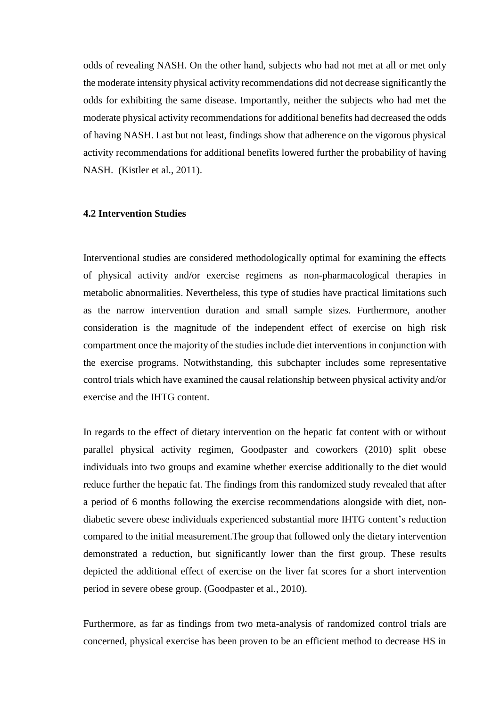odds of revealing NASH. On the other hand, subjects who had not met at all or met only the moderate intensity physical activity recommendations did not decrease significantly the odds for exhibiting the same disease. Importantly, neither the subjects who had met the moderate physical activity recommendations for additional benefits had decreased the odds of having NASH. Last but not least, findings show that adherence on the vigorous physical activity recommendations for additional benefits lowered further the probability of having NASH. (Kistler et al., 2011).

### <span id="page-27-0"></span>**4.2 Intervention Studies**

Interventional studies are considered methodologically optimal for examining the effects of physical activity and/or exercise regimens as non-pharmacological therapies in metabolic abnormalities. Nevertheless, this type of studies have practical limitations such as the narrow intervention duration and small sample sizes. Furthermore, another consideration is the magnitude of the independent effect of exercise on high risk compartment once the majority of the studies include diet interventions in conjunction with the exercise programs. Notwithstanding, this subchapter includes some representative control trials which have examined the causal relationship between physical activity and/or exercise and the IHTG content.

In regards to the effect of dietary intervention on the hepatic fat content with or without parallel physical activity regimen, Goodpaster and coworkers (2010) split obese individuals into two groups and examine whether exercise additionally to the diet would reduce further the hepatic fat. The findings from this randomized study revealed that after a period of 6 months following the exercise recommendations alongside with diet, nondiabetic severe obese individuals experienced substantial more IHTG content's reduction compared to the initial measurement.The group that followed only the dietary intervention demonstrated a reduction, but significantly lower than the first group. These results depicted the additional effect of exercise on the liver fat scores for a short intervention period in severe obese group. (Goodpaster et al., 2010).

Furthermore, as far as findings from two meta-analysis of randomized control trials are concerned, physical exercise has been proven to be an efficient method to decrease HS in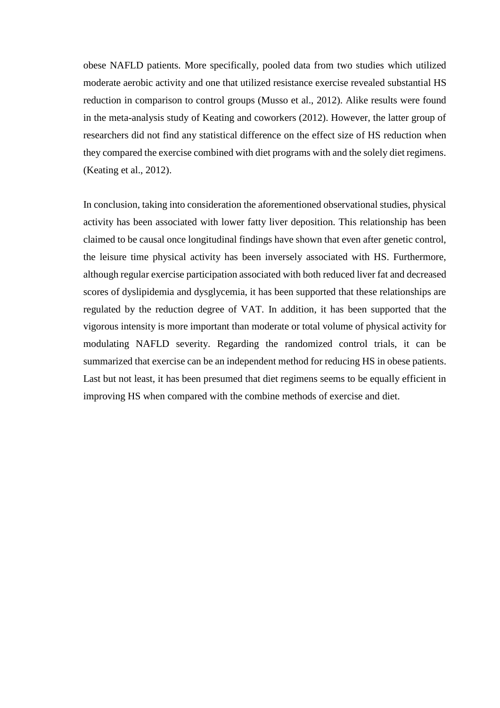obese NAFLD patients. More specifically, pooled data from two studies which utilized moderate aerobic activity and one that utilized resistance exercise revealed substantial HS reduction in comparison to control groups (Musso et al., 2012). Alike results were found in the meta-analysis study of Keating and coworkers (2012). However, the latter group of researchers did not find any statistical difference on the effect size of HS reduction when they compared the exercise combined with diet programs with and the solely diet regimens. (Keating et al., 2012).

In conclusion, taking into consideration the aforementioned observational studies, physical activity has been associated with lower fatty liver deposition. This relationship has been claimed to be causal once longitudinal findings have shown that even after genetic control, the leisure time physical activity has been inversely associated with HS. Furthermore, although regular exercise participation associated with both reduced liver fat and decreased scores of dyslipidemia and dysglycemia, it has been supported that these relationships are regulated by the reduction degree of VAT. In addition, it has been supported that the vigorous intensity is more important than moderate or total volume of physical activity for modulating NAFLD severity. Regarding the randomized control trials, it can be summarized that exercise can be an independent method for reducing HS in obese patients. Last but not least, it has been presumed that diet regimens seems to be equally efficient in improving HS when compared with the combine methods of exercise and diet.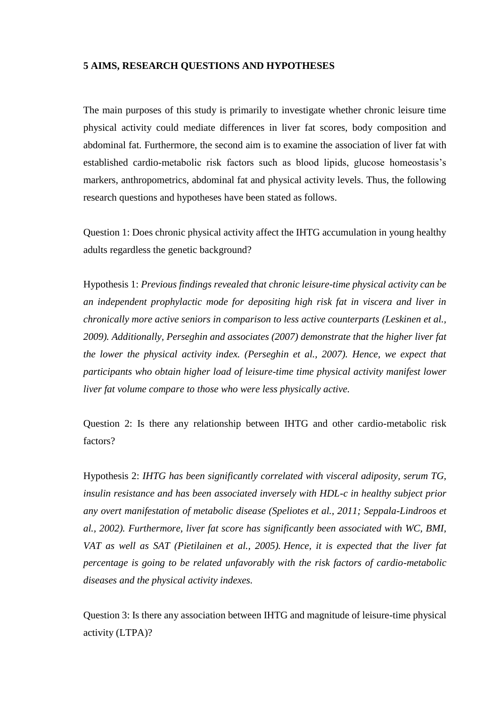#### <span id="page-29-0"></span>**5 AIMS, RESEARCH QUESTIONS AND HYPOTHESES**

The main purposes of this study is primarily to investigate whether chronic leisure time physical activity could mediate differences in liver fat scores, body composition and abdominal fat. Furthermore, the second aim is to examine the association of liver fat with established cardio-metabolic risk factors such as blood lipids, glucose homeostasis's markers, anthropometrics, abdominal fat and physical activity levels. Thus, the following research questions and hypotheses have been stated as follows.

Question 1: Does chronic physical activity affect the IHTG accumulation in young healthy adults regardless the genetic background?

Hypothesis 1: *Previous findings revealed that chronic leisure-time physical activity can be an independent prophylactic mode for depositing high risk fat in viscera and liver in chronically more active seniors in comparison to less active counterparts (Leskinen et al., 2009). Additionally, Perseghin and associates (2007) demonstrate that the higher liver fat the lower the physical activity index. (Perseghin et al., 2007). Hence, we expect that participants who obtain higher load of leisure-time time physical activity manifest lower liver fat volume compare to those who were less physically active.*

Question 2: Is there any relationship between IHTG and other cardio-metabolic risk factors?

Hypothesis 2: *IHTG has been significantly correlated with visceral adiposity, serum TG, insulin resistance and has been associated inversely with HDL-c in healthy subject prior any overt manifestation of metabolic disease (Speliotes et al., 2011; Seppala-Lindroos et al., 2002). Furthermore, liver fat score has significantly been associated with WC, BMI, VAT as well as SAT (Pietilainen et al., 2005). Hence, it is expected that the liver fat percentage is going to be related unfavorably with the risk factors of cardio-metabolic diseases and the physical activity indexes.* 

Question 3: Is there any association between IHTG and magnitude of leisure-time physical activity (LTPA)?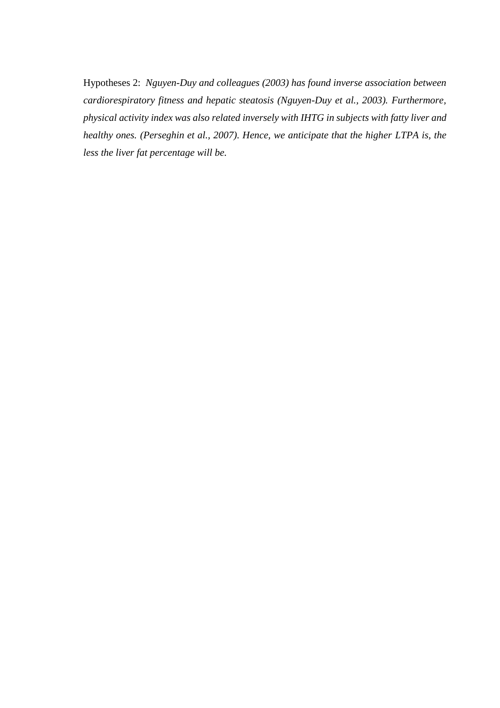Hypotheses 2: *Nguyen-Duy and colleagues (2003) has found inverse association between cardiorespiratory fitness and hepatic steatosis (Nguyen-Duy et al., 2003). Furthermore, physical activity index was also related inversely with IHTG in subjects with fatty liver and healthy ones. (Perseghin et al., 2007). Hence, we anticipate that the higher LTPA is, the less the liver fat percentage will be.*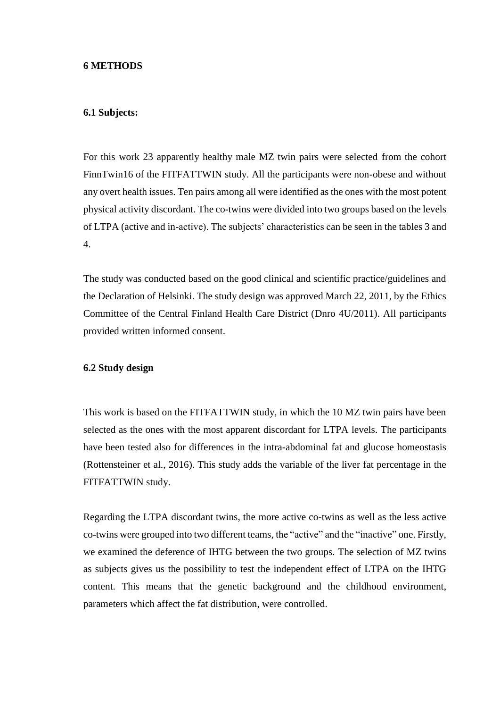#### <span id="page-31-0"></span>**6 METHODS**

#### <span id="page-31-1"></span>**6.1 Subjects:**

For this work 23 apparently healthy male MZ twin pairs were selected from the cohort FinnTwin16 of the FITFATTWIN study. All the participants were non-obese and without any overt health issues. Ten pairs among all were identified as the ones with the most potent physical activity discordant. The co-twins were divided into two groups based on the levels of LTPA (active and in-active). The subjects' characteristics can be seen in the tables 3 and 4.

The study was conducted based on the good clinical and scientific practice/guidelines and the Declaration of Helsinki. The study design was approved March 22, 2011, by the Ethics Committee of the Central Finland Health Care District (Dnro 4U/2011). All participants provided written informed consent.

#### <span id="page-31-2"></span>**6.2 Study design**

This work is based on the FITFATTWIN study, in which the 10 MZ twin pairs have been selected as the ones with the most apparent discordant for LTPA levels. The participants have been tested also for differences in the intra-abdominal fat and glucose homeostasis (Rottensteiner et al., 2016). This study adds the variable of the liver fat percentage in the FITFATTWIN study.

Regarding the LTPA discordant twins, the more active co-twins as well as the less active co-twins were grouped into two different teams, the "active" and the "inactive" one. Firstly, we examined the deference of IHTG between the two groups. The selection of MZ twins as subjects gives us the possibility to test the independent effect of LTPA on the IHTG content. This means that the genetic background and the childhood environment, parameters which affect the fat distribution, were controlled.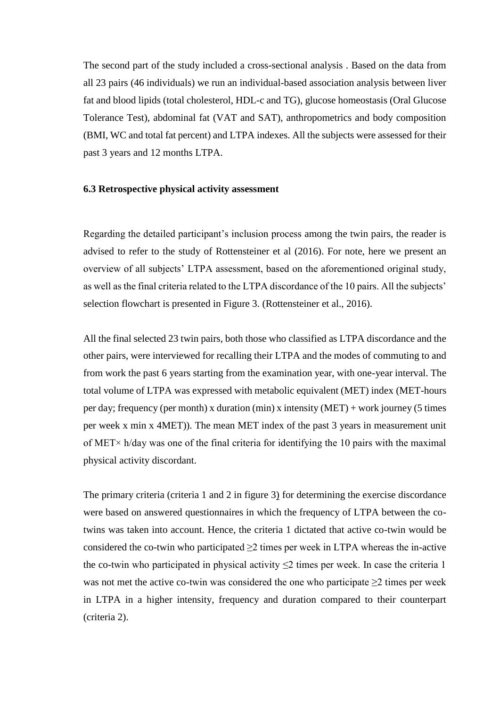The second part of the study included a cross-sectional analysis . Based on the data from all 23 pairs (46 individuals) we run an individual-based association analysis between liver fat and blood lipids (total cholesterol, HDL-c and TG), glucose homeostasis (Oral Glucose Tolerance Test), abdominal fat (VAT and SAT), anthropometrics and body composition (BMI, WC and total fat percent) and LTPA indexes. All the subjects were assessed for their past 3 years and 12 months LTPA.

#### <span id="page-32-0"></span>**6.3 Retrospective physical activity assessment**

Regarding the detailed participant's inclusion process among the twin pairs, the reader is advised to refer to the study of Rottensteiner et al (2016). For note, here we present an overview of all subjects' LTPA assessment, based on the aforementioned original study, as well as the final criteria related to the LTPA discordance of the 10 pairs. All the subjects' selection flowchart is presented in Figure 3. (Rottensteiner et al., 2016).

All the final selected 23 twin pairs, both those who classified as LTPA discordance and the other pairs, were interviewed for recalling their LTPA and the modes of commuting to and from work the past 6 years starting from the examination year, with one-year interval. The total volume of LTPA was expressed with metabolic equivalent (MET) index (MET-hours per day; frequency (per month) x duration (min) x intensity (MET) + work journey (5 times per week x min x 4MET)). The mean MET index of the past 3 years in measurement unit of MET× h/day was one of the final criteria for identifying the 10 pairs with the maximal physical activity discordant.

The primary criteria (criteria 1 and 2 in figure 3) for determining the exercise discordance were based on answered questionnaires in which the frequency of LTPA between the cotwins was taken into account. Hence, the criteria 1 dictated that active co-twin would be considered the co-twin who participated  $\geq$  times per week in LTPA whereas the in-active the co-twin who participated in physical activity  $\leq$  times per week. In case the criteria 1 was not met the active co-twin was considered the one who participate  $\geq 2$  times per week in LTPA in a higher intensity, frequency and duration compared to their counterpart (criteria 2).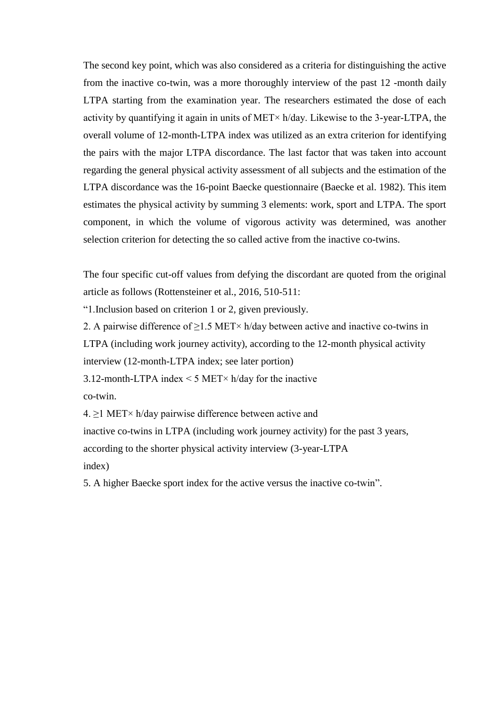The second key point, which was also considered as a criteria for distinguishing the active from the inactive co-twin, was a more thoroughly interview of the past 12 -month daily LTPA starting from the examination year. The researchers estimated the dose of each activity by quantifying it again in units of MET× h/day. Likewise to the 3-year-LTPA, the overall volume of 12-month-LTPA index was utilized as an extra criterion for identifying the pairs with the major LTPA discordance. The last factor that was taken into account regarding the general physical activity assessment of all subjects and the estimation of the LTPA discordance was the 16-point Baecke questionnaire (Baecke et al. 1982). This item estimates the physical activity by summing 3 elements: work, sport and LTPA. The sport component, in which the volume of vigorous activity was determined, was another selection criterion for detecting the so called active from the inactive co-twins.

The four specific cut-off values from defying the discordant are quoted from the original article as follows (Rottensteiner et al., 2016, 510-511:

"1.Inclusion based on criterion 1 or 2, given previously.

2. A pairwise difference of  $\geq$ 1.5 MET× h/day between active and inactive co-twins in LTPA (including work journey activity), according to the 12-month physical activity interview (12-month-LTPA index; see later portion)

3.12-month-LTPA index  $\leq$  5 MET $\times$  h/day for the inactive co-twin.

4.  $\geq$ 1 MET× h/day pairwise difference between active and

inactive co-twins in LTPA (including work journey activity) for the past 3 years, according to the shorter physical activity interview (3-year-LTPA

index)

5. A higher Baecke sport index for the active versus the inactive co-twin".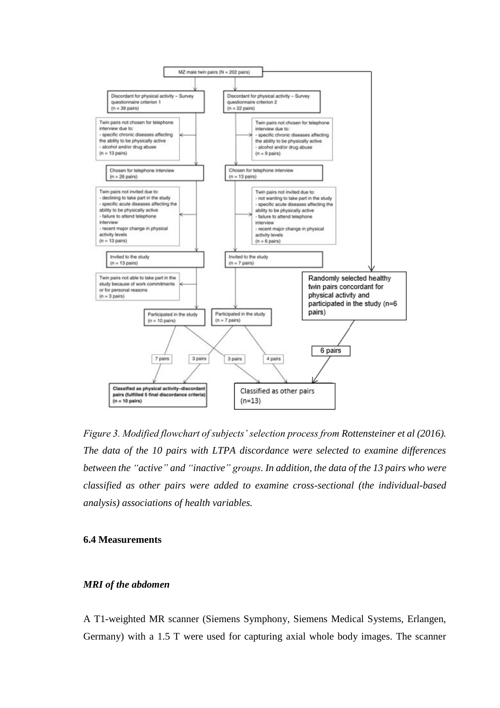

*Figure 3. Modified flowchart of subjects' selection process from Rottensteiner et al (2016). The data of the 10 pairs with LTPA discordance were selected to examine differences between the "active" and "inactive" groups. In addition, the data of the 13 pairs who were classified as other pairs were added to examine cross-sectional (the individual-based analysis) associations of health variables.*

#### <span id="page-34-0"></span>**6.4 Measurements**

#### *MRI of the abdomen*

A T1-weighted MR scanner (Siemens Symphony, Siemens Medical Systems, Erlangen, Germany) with a 1.5 T were used for capturing axial whole body images. The scanner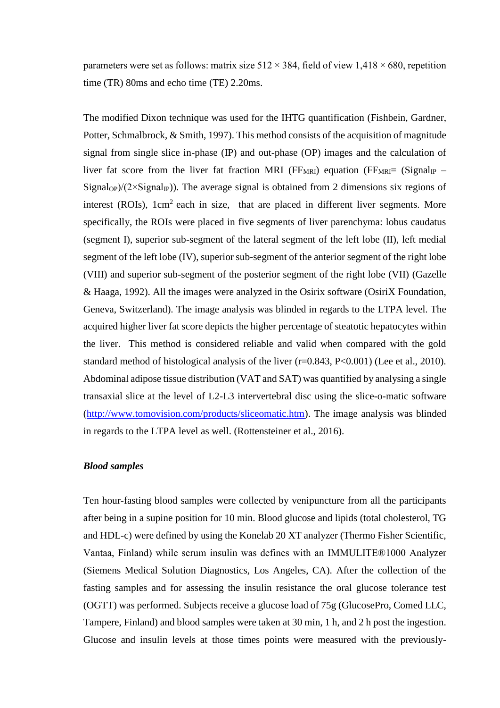parameters were set as follows: matrix size  $512 \times 384$ , field of view  $1,418 \times 680$ , repetition time (TR) 80ms and echo time (TE) 2.20ms.

The modified Dixon technique was used for the IHTG quantification (Fishbein, Gardner, Potter, Schmalbrock, & Smith, 1997). This method consists of the acquisition of magnitude signal from single slice in-phase (IP) and out-phase (OP) images and the calculation of liver fat score from the liver fat fraction MRI ( $FF_{MRI}$ ) equation ( $FF_{MRI}$  ( $Signal_{IP}$  – Signal<sub>OP</sub>)/( $2 \times$ Signal<sub>IP</sub>)). The average signal is obtained from 2 dimensions six regions of interest (ROIs),  $1 \text{cm}^2$  each in size, that are placed in different liver segments. More specifically, the ROIs were placed in five segments of liver parenchyma: lobus caudatus (segment I), superior sub-segment of the lateral segment of the left lobe (II), left medial segment of the left lobe (IV), superior sub-segment of the anterior segment of the right lobe (VIII) and superior sub-segment of the posterior segment of the right lobe (VII) (Gazelle & Haaga, 1992). All the images were analyzed in the Osirix software (OsiriX Foundation, Geneva, Switzerland). The image analysis was blinded in regards to the LTPA level. The acquired higher liver fat score depicts the higher percentage of steatotic hepatocytes within the liver. This method is considered reliable and valid when compared with the gold standard method of histological analysis of the liver (r=0.843, P<0.001) (Lee et al., 2010). Abdominal adipose tissue distribution (VAT and SAT) was quantified by analysing a single transaxial slice at the level of L2-L3 intervertebral disc using the slice-o-matic software [\(http://www.tomovision.com/products/sliceomatic.htm\)](http://www.tomovision.com/products/sliceomatic.htm). The image analysis was blinded in regards to the LTPA level as well. (Rottensteiner et al., 2016).

#### *Blood samples*

Ten hour-fasting blood samples were collected by venipuncture from all the participants after being in a supine position for 10 min. Blood glucose and lipids (total cholesterol, TG and HDL-c) were defined by using the Konelab 20 XT analyzer (Thermo Fisher Scientific, Vantaa, Finland) while serum insulin was defines with an IMMULITE®1000 Analyzer (Siemens Medical Solution Diagnostics, Los Angeles, CA). After the collection of the fasting samples and for assessing the insulin resistance the oral glucose tolerance test (OGTT) was performed. Subjects receive a glucose load of 75g (GlucosePro, Comed LLC, Tampere, Finland) and blood samples were taken at 30 min, 1 h, and 2 h post the ingestion. Glucose and insulin levels at those times points were measured with the previously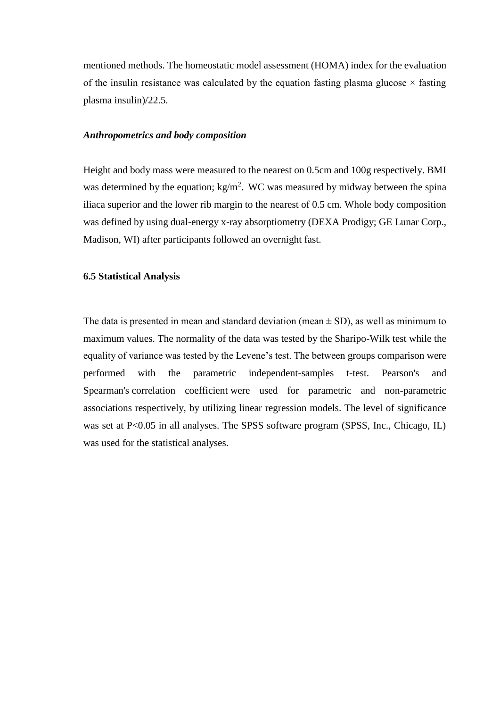mentioned methods. The homeostatic model assessment (HOMA) index for the evaluation of the insulin resistance was calculated by the equation fasting plasma glucose  $\times$  fasting plasma insulin)/22.5.

#### *Anthropometrics and body composition*

Height and body mass were measured to the nearest on 0.5cm and 100g respectively. BMI was determined by the equation;  $kg/m^2$ . WC was measured by midway between the spina iliaca superior and the lower rib margin to the nearest of 0.5 cm. Whole body composition was defined by using dual-energy x-ray absorptiometry (DEXA Prodigy; GE Lunar Corp., Madison, WI) after participants followed an overnight fast.

#### <span id="page-36-0"></span>**6.5 Statistical Analysis**

The data is presented in mean and standard deviation (mean  $\pm$  SD), as well as minimum to maximum values. The normality of the data was tested by the Sharipo-Wilk test while the equality of variance was tested by the Levene's test. The between groups comparison were performed with the parametric independent-samples t-test. Pearson's and Spearman's correlation coefficient were used for parametric and non-parametric associations respectively, by utilizing linear regression models. The level of significance was set at P<0.05 in all analyses. The SPSS software program (SPSS, Inc., Chicago, IL) was used for the statistical analyses.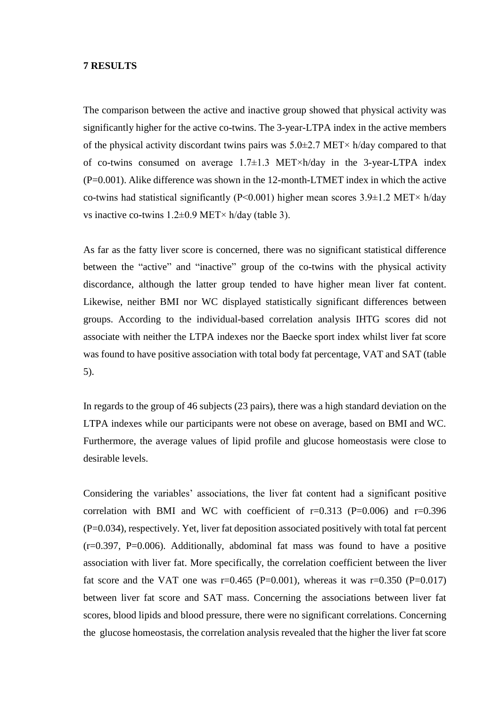#### <span id="page-37-0"></span>**7 RESULTS**

The comparison between the active and inactive group showed that physical activity was significantly higher for the active co-twins. The 3-year-LTPA index in the active members of the physical activity discordant twins pairs was  $5.0\pm2.7$  MET $\times$  h/day compared to that of co-twins consumed on average  $1.7\pm1.3$  MET×h/day in the 3-year-LTPA index (P=0.001). Alike difference was shown in the 12-month-LTMET index in which the active co-twins had statistical significantly (P<0.001) higher mean scores  $3.9\pm1.2$  MET× h/day vs inactive co-twins  $1.2\pm0.9$  MET× h/day (table 3).

As far as the fatty liver score is concerned, there was no significant statistical difference between the "active" and "inactive" group of the co-twins with the physical activity discordance, although the latter group tended to have higher mean liver fat content. Likewise, neither BMI nor WC displayed statistically significant differences between groups. According to the individual-based correlation analysis IHTG scores did not associate with neither the LTPA indexes nor the Baecke sport index whilst liver fat score was found to have positive association with total body fat percentage, VAT and SAT (table 5).

In regards to the group of 46 subjects (23 pairs), there was a high standard deviation on the LTPA indexes while our participants were not obese on average, based on BMI and WC. Furthermore, the average values of lipid profile and glucose homeostasis were close to desirable levels.

Considering the variables' associations, the liver fat content had a significant positive correlation with BMI and WC with coefficient of  $r=0.313$  (P=0.006) and  $r=0.396$ (P=0.034), respectively. Yet, liver fat deposition associated positively with total fat percent  $(r=0.397, P=0.006)$ . Additionally, abdominal fat mass was found to have a positive association with liver fat. More specifically, the correlation coefficient between the liver fat score and the VAT one was  $r=0.465$  (P=0.001), whereas it was  $r=0.350$  (P=0.017) between liver fat score and SAT mass. Concerning the associations between liver fat scores, blood lipids and blood pressure, there were no significant correlations. Concerning the glucose homeostasis, the correlation analysis revealed that the higher the liver fat score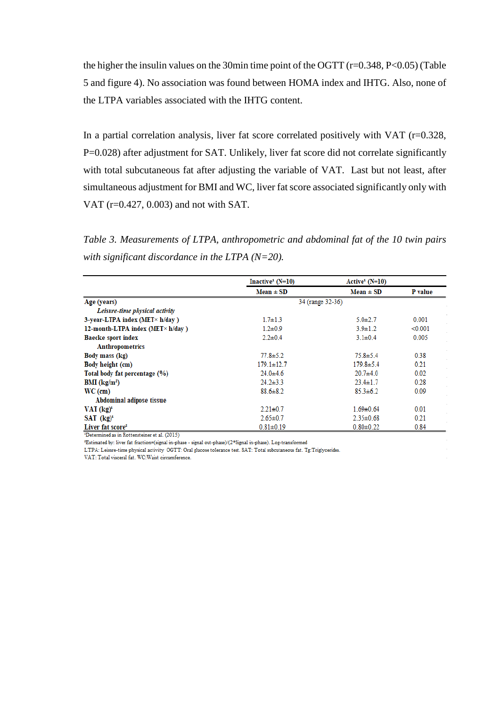the higher the insulin values on the 30min time point of the OGTT (r=0.348, P<0.05) (Table 5 and figure 4). No association was found between HOMA index and IHTG. Also, none of the LTPA variables associated with the IHTG content.

In a partial correlation analysis, liver fat score correlated positively with VAT (r=0.328, P=0.028) after adjustment for SAT. Unlikely, liver fat score did not correlate significantly with total subcutaneous fat after adjusting the variable of VAT. Last but not least, after simultaneous adjustment for BMI and WC, liver fat score associated significantly only with VAT (r=0.427, 0.003) and not with SAT.

*Table 3. Measurements of LTPA, anthropometric and abdominal fat of the 10 twin pairs with significant discordance in the LTPA (N=20).*

|                                          | Inactive <sup>1</sup> ( $N=10$ ) | $Active1 (N=10)$ |         |
|------------------------------------------|----------------------------------|------------------|---------|
|                                          | $Mean \pm SD$                    | $Mean \pm SD$    | P value |
| Age (years)                              | 34 (range 32-36)                 |                  |         |
| Leisure-time physical activity           |                                  |                  |         |
| 3-year-LTPA index (MET $\times$ h/day)   | $1.7 \pm 1.3$                    | $5.0 + 2.7$      | 0.001   |
| 12-month-LTPA index (MET $\times$ h/day) | $1.2 \pm 0.9$                    | $3.9 \pm 1.2$    | < 0.001 |
| <b>Baecke sport index</b>                | $2.2 \pm 0.4$                    | $3.1 \pm 0.4$    | 0.005   |
| <b>Anthropometrics</b>                   |                                  |                  |         |
| Body mass (kg)                           | $77.8 \pm 5.2$                   | $75.8 \pm 5.4$   | 0.38    |
| Body height (cm)                         | $179.1 \pm 12.7$                 | $179.8 \pm 5.4$  | 0.21    |
| Total body fat percentage (%)            | $24.0 + 4.6$                     | $20.7 + 4.0$     | 0.02    |
| $BMI$ (kg/m <sup>2</sup> )               | $24.2 \pm 3.3$                   | $23.4 \pm 1.7$   | 0.28    |
| $WC$ (cm)                                | $88.6 \pm 8.2$                   | $85.3 \pm 6.2$   | 0.09    |
| Abdominal adipose tissue                 |                                  |                  |         |
| $VAT$ $(kg)^1$                           | $2.21 \pm 0.7$                   | $1.69 \pm 0.64$  | 0.01    |
| $SAT (kg)^1$                             | $2.65 \pm 0.7$                   | $2.35 \pm 0.68$  | 0.21    |
| Liver fat score <sup>2</sup>             | $0.81 \pm 0.19$                  | $0.80 \pm 0.22$  | 0.84    |

<sup>4</sup>Determined as in Rottensteiner et al. (2015)

<sup>2</sup>Estimated by: liver fat fraction=(signal in-phase - signal out-phase)/(2\*Signal in-phase). Log-transformed

LTPA: Leisure-time physical activity OGTT: Oral glucose tolerance test. SAT: Total subcutaneous fat. Tg:Triglycerides.

VAT: Total visceral fat. WC: Waist circumference.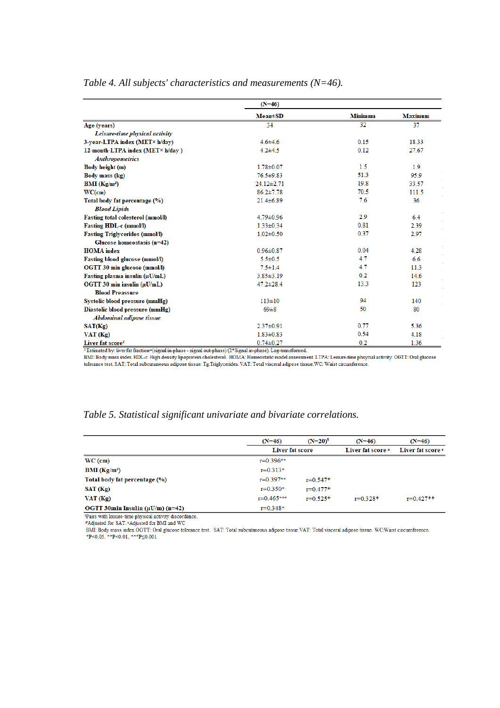|                                                            | $(N=46)$        |                |                |
|------------------------------------------------------------|-----------------|----------------|----------------|
|                                                            | $Mean \pm SD$   | <b>Minimum</b> | <b>Maximum</b> |
| Age (years)                                                | 34              | 32             | 37             |
| Leisure-time physical activity                             |                 |                |                |
| 3-year-LTPA index (MET× h/day)                             | $4.6 \pm 4.6$   | 0.15           | 18.33          |
| 12-month-LTPA index (MET× h/day)<br><b>Anthropometrics</b> | $4.2 + 4.5$     | 0.12           | 27.67          |
| Body height (m)                                            | $1.78 \pm 0.07$ | 15             | 1.9            |
| Body mass (kg)                                             | $76.5 \pm 9.83$ | 51.3           | 95.9           |
| <b>BMI</b> ( $Kg/m2$ )                                     | 24.12±2.71      | 19.8           | 33.57          |
| WC(cm)                                                     | $86.2 \pm 7.78$ | 70.5           | 111.5          |
| Total body fat percentage (%)                              | $21.4 \pm 6.89$ | 7.6            | 36             |
| <b>Blood Lipids</b>                                        |                 |                |                |
| Fasting total colesterol (mmol/l)                          | 4.79±0.96       | 2.9            | 6.4            |
| <b>Fasting HDL-c (mmol/l)</b>                              | $1.33 \pm 0.34$ | 0.81           | 2.39           |
| <b>Fasting Triglycerides (mmol/I)</b>                      | $1.02 \pm 0.50$ | 0.37           | 2.97           |
| Glucose homeostasis (n=42)                                 |                 |                |                |
| <b>HOMA</b> index                                          | $0.96 \pm 0.87$ | 0.04           | 4.28           |
| Fasting blood glucose (mmol/l)                             | $5.5 \pm 0.5$   | 4.7            | 6.6            |
| OGTT 30 min glucose (mmol/l)                               | $7.5 \pm 1.4$   | 4.7            | 11.3           |
| Fasting plasma insulin (µU/mL)                             | $3.85 \pm 3.19$ | 0.2            | 14.6           |
| OGTT 30 min insulin (µU/mL)                                | $47.2 \pm 28.4$ | 13.3           | 123            |
| <b>Blood Preassure</b>                                     |                 |                |                |
| Systolic blood pressure (mmHg)                             | $113 \pm 10$    | 94             | 140            |
| Diastolic blood pressure (mmHg)                            | $69\pm8$        | 50             | 80             |
| Abdominal adipose tissue                                   |                 |                |                |
| SAT(Kg)                                                    | $2.37 \pm 0.91$ | 0.77           | 5.36           |
| VAT(Kg)                                                    | $1.83 \pm 0.83$ | 0.54           | 4.18           |
| Liver fat score <sup>2</sup>                               | $0.74 \pm 0.27$ | 0.2            | 1.36           |

#### *Table 4. All subjects' characteristics and measurements (N=46).*

ted by: liver fat fracti

 $\overbrace{~~}$  Estimated by: liver fat fraction=(signal in-phase - signal out-phase)/(2\*Signal in-phase). Log-transformed.<br>BMI: Body mass index. HDL-c: High density lipoprotein cholesterol. HOMA: Homeostatic model assessment. L

#### *Table 5. Statistical significant univariate and bivariate correlations.*

|                                                   | $(N=46)$       | $(N=20)^1$      | $(N=46)$     | $(N=46)$          |
|---------------------------------------------------|----------------|-----------------|--------------|-------------------|
|                                                   |                | Liver fat score |              | Liver fat score * |
| $WC$ (cm)                                         | $r=0.396**$    |                 |              |                   |
| <b>BMI</b> ( $Kg/m^2$ )                           | $r = 0.313*$   |                 |              |                   |
| Total body fat percentage (%)                     | $r=0.397**$    | $r = 0.547*$    |              |                   |
| SAT (Kg)                                          | $r = 0.350*$   | $r = 0.477*$    |              |                   |
| VAT(Kg)                                           | $r = 0.465***$ | $r = 0.525*$    | $r = 0.328*$ | $r=0.427**$       |
| OGTT 30 $min$ Insulin ( $\mu$ U/ $m$ ) ( $n=42$ ) | $r=0.348*$     |                 |              |                   |

Fraction of the Contract Contract Contract Contract Contract Contract Contract Contract Contract Contract Contract Contract Contract Contract Contract Contract Contract Contract Contract Contract Contract Contract Contract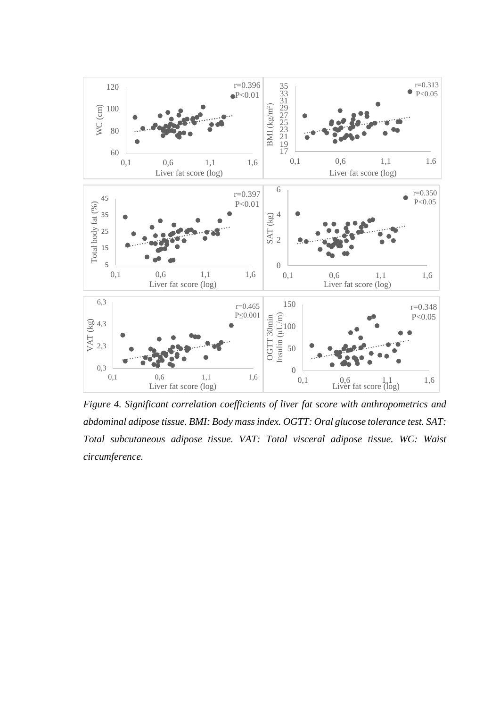

*Figure 4. Significant correlation coefficients of liver fat score with anthropometrics and abdominal adipose tissue. BMI: Body mass index. OGTT: Oral glucose tolerance test. SAT: Total subcutaneous adipose tissue. VAT: Total visceral adipose tissue. WC: Waist circumference.*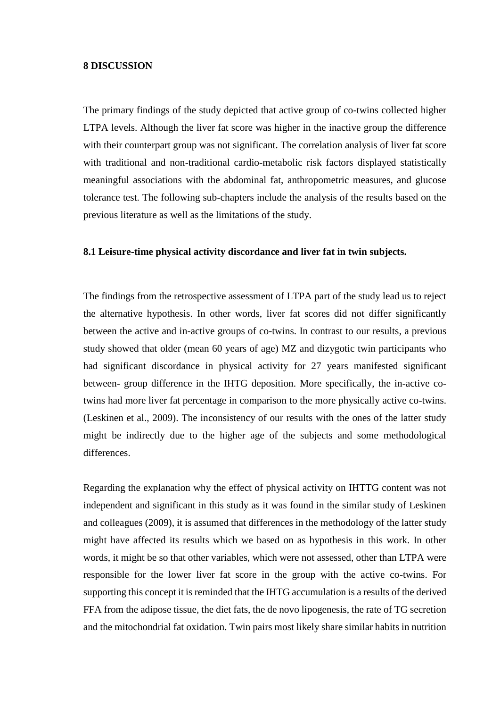#### <span id="page-41-0"></span>**8 DISCUSSION**

The primary findings of the study depicted that active group of co-twins collected higher LTPA levels. Although the liver fat score was higher in the inactive group the difference with their counterpart group was not significant. The correlation analysis of liver fat score with traditional and non-traditional cardio-metabolic risk factors displayed statistically meaningful associations with the abdominal fat, anthropometric measures, and glucose tolerance test. The following sub-chapters include the analysis of the results based on the previous literature as well as the limitations of the study.

#### <span id="page-41-1"></span>**8.1 Leisure-time physical activity discordance and liver fat in twin subjects.**

The findings from the retrospective assessment of LTPA part of the study lead us to reject the alternative hypothesis. In other words, liver fat scores did not differ significantly between the active and in-active groups of co-twins. In contrast to our results, a previous study showed that older (mean 60 years of age) MZ and dizygotic twin participants who had significant discordance in physical activity for 27 years manifested significant between- group difference in the IHTG deposition. More specifically, the in-active cotwins had more liver fat percentage in comparison to the more physically active co-twins. (Leskinen et al., 2009). The inconsistency of our results with the ones of the latter study might be indirectly due to the higher age of the subjects and some methodological differences.

Regarding the explanation why the effect of physical activity on IHTTG content was not independent and significant in this study as it was found in the similar study of Leskinen and colleagues (2009), it is assumed that differences in the methodology of the latter study might have affected its results which we based on as hypothesis in this work. In other words, it might be so that other variables, which were not assessed, other than LTPA were responsible for the lower liver fat score in the group with the active co-twins. For supporting this concept it is reminded that the IHTG accumulation is a results of the derived FFA from the adipose tissue, the diet fats, the de novo lipogenesis, the rate of TG secretion and the mitochondrial fat oxidation. Twin pairs most likely share similar habits in nutrition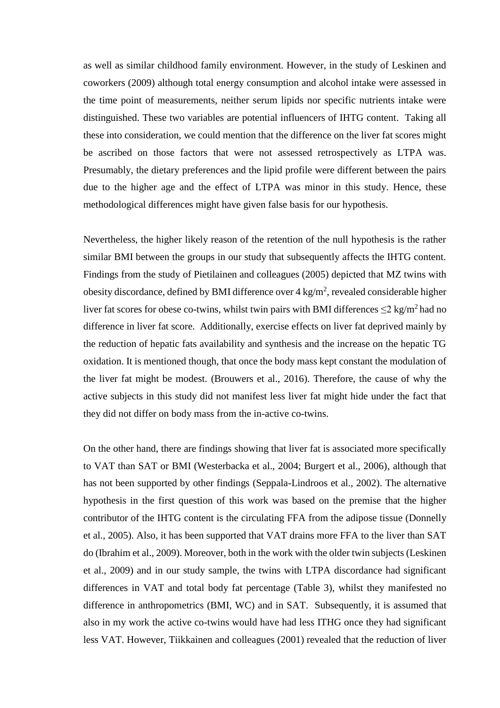as well as similar childhood family environment. However, in the study of Leskinen and coworkers (2009) although total energy consumption and alcohol intake were assessed in the time point of measurements, neither serum lipids nor specific nutrients intake were distinguished. These two variables are potential influencers of IHTG content. Taking all these into consideration, we could mention that the difference on the liver fat scores might be ascribed on those factors that were not assessed retrospectively as LTPA was. Presumably, the dietary preferences and the lipid profile were different between the pairs due to the higher age and the effect of LTPA was minor in this study. Hence, these methodological differences might have given false basis for our hypothesis.

Nevertheless, the higher likely reason of the retention of the null hypothesis is the rather similar BMI between the groups in our study that subsequently affects the IHTG content. Findings from the study of Pietilainen and colleagues (2005) depicted that MZ twins with obesity discordance, defined by BMI difference over  $4 \text{ kg/m}^2$ , revealed considerable higher liver fat scores for obese co-twins, whilst twin pairs with BMI differences  $\leq$ 2 kg/m<sup>2</sup> had no difference in liver fat score. Additionally, exercise effects on liver fat deprived mainly by the reduction of hepatic fats availability and synthesis and the increase on the hepatic TG oxidation. It is mentioned though, that once the body mass kept constant the modulation of the liver fat might be modest. (Brouwers et al., 2016). Therefore, the cause of why the active subjects in this study did not manifest less liver fat might hide under the fact that they did not differ on body mass from the in-active co-twins.

On the other hand, there are findings showing that liver fat is associated more specifically to VAT than SAT or BMI (Westerbacka et al., 2004; Burgert et al., 2006), although that has not been supported by other findings (Seppala-Lindroos et al., 2002). The alternative hypothesis in the first question of this work was based on the premise that the higher contributor of the IHTG content is the circulating FFA from the adipose tissue (Donnelly et al., 2005). Also, it has been supported that VAT drains more FFA to the liver than SAT do (Ibrahim et al., 2009). Moreover, both in the work with the older twin subjects (Leskinen et al., 2009) and in our study sample, the twins with LTPA discordance had significant differences in VAT and total body fat percentage (Table 3), whilst they manifested no difference in anthropometrics (BMI, WC) and in SAT. Subsequently, it is assumed that also in my work the active co-twins would have had less ITHG once they had significant less VAT. However, Tiikkainen and colleagues (2001) revealed that the reduction of liver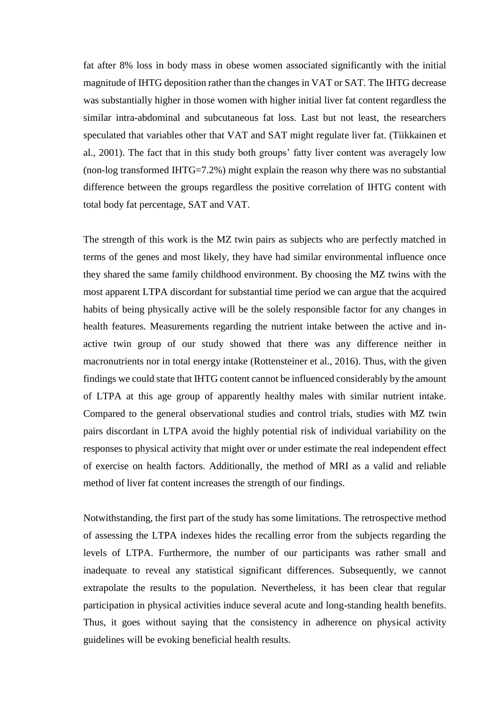fat after 8% loss in body mass in obese women associated significantly with the initial magnitude of IHTG deposition rather than the changes in VAT or SAT. The IHTG decrease was substantially higher in those women with higher initial liver fat content regardless the similar intra-abdominal and subcutaneous fat loss. Last but not least, the researchers speculated that variables other that VAT and SAT might regulate liver fat. (Tiikkainen et al., 2001). The fact that in this study both groups' fatty liver content was averagely low (non-log transformed IHTG=7.2%) might explain the reason why there was no substantial difference between the groups regardless the positive correlation of IHTG content with total body fat percentage, SAT and VAT.

The strength of this work is the MZ twin pairs as subjects who are perfectly matched in terms of the genes and most likely, they have had similar environmental influence once they shared the same family childhood environment. By choosing the MZ twins with the most apparent LTPA discordant for substantial time period we can argue that the acquired habits of being physically active will be the solely responsible factor for any changes in health features. Measurements regarding the nutrient intake between the active and inactive twin group of our study showed that there was any difference neither in macronutrients nor in total energy intake (Rottensteiner et al., 2016). Thus, with the given findings we could state that IHTG content cannot be influenced considerably by the amount of LTPA at this age group of apparently healthy males with similar nutrient intake. Compared to the general observational studies and control trials, studies with MZ twin pairs discordant in LTPA avoid the highly potential risk of individual variability on the responses to physical activity that might over or under estimate the real independent effect of exercise on health factors. Additionally, the method of MRI as a valid and reliable method of liver fat content increases the strength of our findings.

Notwithstanding, the first part of the study has some limitations. The retrospective method of assessing the LTPA indexes hides the recalling error from the subjects regarding the levels of LTPA. Furthermore, the number of our participants was rather small and inadequate to reveal any statistical significant differences. Subsequently, we cannot extrapolate the results to the population. Nevertheless, it has been clear that regular participation in physical activities induce several acute and long-standing health benefits. Thus, it goes without saying that the consistency in adherence on physical activity guidelines will be evoking beneficial health results.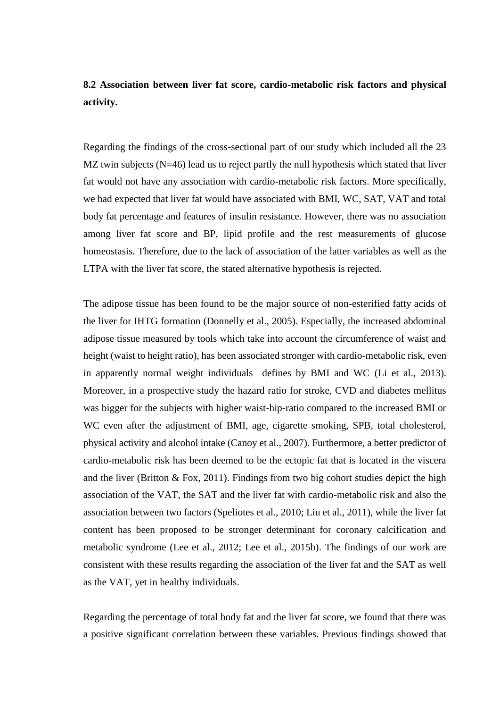## <span id="page-44-0"></span>**8.2 Association between liver fat score, cardio-metabolic risk factors and physical activity.**

Regarding the findings of the cross-sectional part of our study which included all the 23 MZ twin subjects (N=46) lead us to reject partly the null hypothesis which stated that liver fat would not have any association with cardio-metabolic risk factors. More specifically, we had expected that liver fat would have associated with BMI, WC, SAT, VAT and total body fat percentage and features of insulin resistance. However, there was no association among liver fat score and BP, lipid profile and the rest measurements of glucose homeostasis. Therefore, due to the lack of association of the latter variables as well as the LTPA with the liver fat score, the stated alternative hypothesis is rejected.

The adipose tissue has been found to be the major source of non-esterified fatty acids of the liver for IHTG formation (Donnelly et al., 2005). Especially, the increased abdominal adipose tissue measured by tools which take into account the circumference of waist and height (waist to height ratio), has been associated stronger with cardio-metabolic risk, even in apparently normal weight individuals defines by BMI and WC (Li et al., 2013). Moreover, in a prospective study the hazard ratio for stroke, CVD and diabetes mellitus was bigger for the subjects with higher waist-hip-ratio compared to the increased BMI or WC even after the adjustment of BMI, age, cigarette smoking, SPB, total cholesterol, physical activity and alcohol intake (Canoy et al., 2007). Furthermore, a better predictor of cardio-metabolic risk has been deemed to be the ectopic fat that is located in the viscera and the liver (Britton  $\&$  Fox, 2011). Findings from two big cohort studies depict the high association of the VAT, the SAT and the liver fat with cardio-metabolic risk and also the association between two factors (Speliotes et al., 2010; Liu et al., 2011), while the liver fat content has been proposed to be stronger determinant for coronary calcification and metabolic syndrome (Lee et al., 2012; Lee et al., 2015b). The findings of our work are consistent with these results regarding the association of the liver fat and the SAT as well as the VAT, yet in healthy individuals.

Regarding the percentage of total body fat and the liver fat score, we found that there was a positive significant correlation between these variables. Previous findings showed that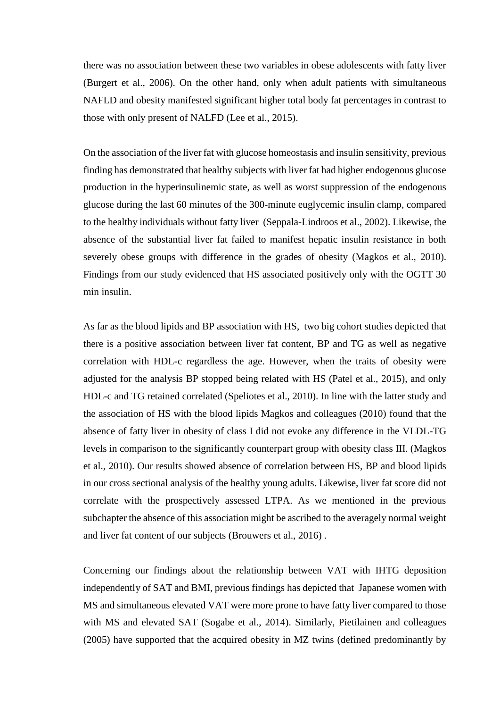there was no association between these two variables in obese adolescents with fatty liver (Burgert et al., 2006). On the other hand, only when adult patients with simultaneous NAFLD and obesity manifested significant higher total body fat percentages in contrast to those with only present of NALFD (Lee et al., 2015).

On the association of the liver fat with glucose homeostasis and insulin sensitivity, previous finding has demonstrated that healthy subjects with liver fat had higher endogenous glucose production in the hyperinsulinemic state, as well as worst suppression of the endogenous glucose during the last 60 minutes of the 300-minute euglycemic insulin clamp, compared to the healthy individuals without fatty liver (Seppala-Lindroos et al., 2002). Likewise, the absence of the substantial liver fat failed to manifest hepatic insulin resistance in both severely obese groups with difference in the grades of obesity (Magkos et al., 2010). Findings from our study evidenced that HS associated positively only with the OGTT 30 min insulin.

As far as the blood lipids and BP association with HS, two big cohort studies depicted that there is a positive association between liver fat content, BP and TG as well as negative correlation with HDL-c regardless the age. However, when the traits of obesity were adjusted for the analysis BP stopped being related with HS (Patel et al., 2015), and only HDL-c and TG retained correlated (Speliotes et al., 2010). In line with the latter study and the association of HS with the blood lipids Magkos and colleagues (2010) found that the absence of fatty liver in obesity of class I did not evoke any difference in the VLDL-TG levels in comparison to the significantly counterpart group with obesity class III. (Magkos et al., 2010). Our results showed absence of correlation between HS, BP and blood lipids in our cross sectional analysis of the healthy young adults. Likewise, liver fat score did not correlate with the prospectively assessed LTPA. As we mentioned in the previous subchapter the absence of this association might be ascribed to the averagely normal weight and liver fat content of our subjects (Brouwers et al., 2016) .

Concerning our findings about the relationship between VAT with IHTG deposition independently of SAT and BMI, previous findings has depicted that Japanese women with MS and simultaneous elevated VAT were more prone to have fatty liver compared to those with MS and elevated SAT (Sogabe et al., 2014). Similarly, Pietilainen and colleagues (2005) have supported that the acquired obesity in MZ twins (defined predominantly by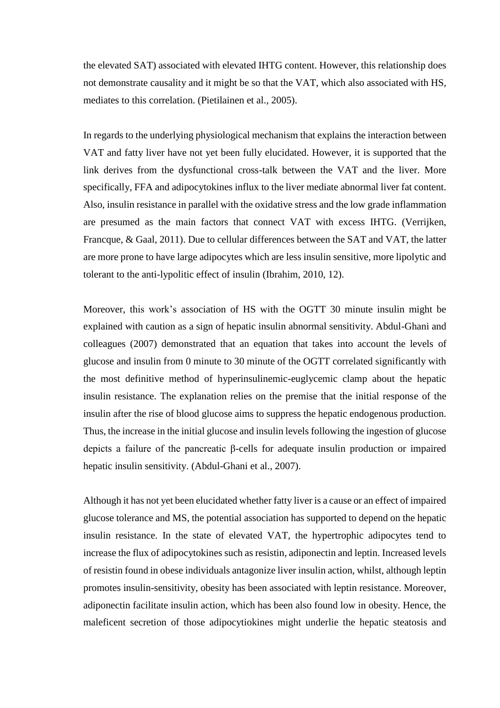the elevated SAT) associated with elevated IHTG content. However, this relationship does not demonstrate causality and it might be so that the VAT, which also associated with HS, mediates to this correlation. (Pietilainen et al., 2005).

In regards to the underlying physiological mechanism that explains the interaction between VAT and fatty liver have not yet been fully elucidated. However, it is supported that the link derives from the dysfunctional cross-talk between the VAT and the liver. More specifically, FFA and adipocytokines influx to the liver mediate abnormal liver fat content. Also, insulin resistance in parallel with the oxidative stress and the low grade inflammation are presumed as the main factors that connect VAT with excess IHTG. (Verrijken, Francque, & Gaal, 2011). Due to cellular differences between the SAT and VAT, the latter are more prone to have large adipocytes which are less insulin sensitive, more lipolytic and tolerant to the anti-lypolitic effect of insulin (Ibrahim, 2010, 12).

Moreover, this work's association of HS with the OGTT 30 minute insulin might be explained with caution as a sign of hepatic insulin abnormal sensitivity. Abdul-Ghani and colleagues (2007) demonstrated that an equation that takes into account the levels of glucose and insulin from 0 minute to 30 minute of the OGTT correlated significantly with the most definitive method of hyperinsulinemic-euglycemic clamp about the hepatic insulin resistance. The explanation relies on the premise that the initial response of the insulin after the rise of blood glucose aims to suppress the hepatic endogenous production. Thus, the increase in the initial glucose and insulin levels following the ingestion of glucose depicts a failure of the pancreatic β-cells for adequate insulin production or impaired hepatic insulin sensitivity. (Abdul-Ghani et al., 2007).

Although it has not yet been elucidated whether fatty liver is a cause or an effect of impaired glucose tolerance and MS, the potential association has supported to depend on the hepatic insulin resistance. In the state of elevated VAT, the hypertrophic adipocytes tend to increase the flux of adipocytokines such as resistin, adiponectin and leptin. Increased levels of resistin found in obese individuals antagonize liver insulin action, whilst, although leptin promotes insulin-sensitivity, obesity has been associated with leptin resistance. Moreover, adiponectin facilitate insulin action, which has been also found low in obesity. Hence, the maleficent secretion of those adipocytiokines might underlie the hepatic steatosis and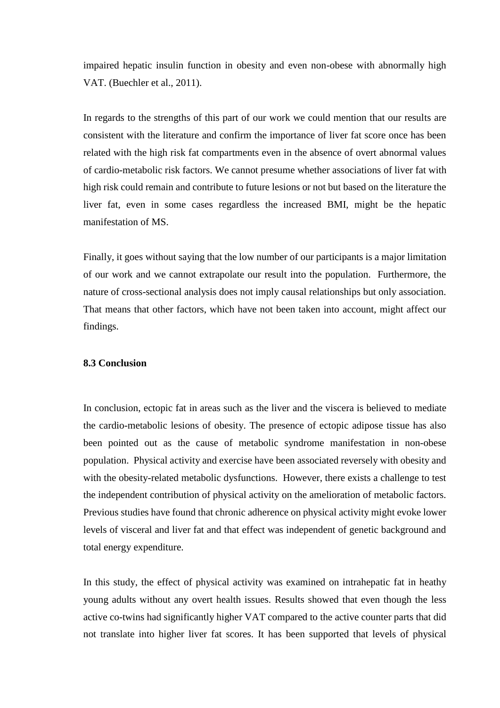impaired hepatic insulin function in obesity and even non-obese with abnormally high VAT. (Buechler et al., 2011).

In regards to the strengths of this part of our work we could mention that our results are consistent with the literature and confirm the importance of liver fat score once has been related with the high risk fat compartments even in the absence of overt abnormal values of cardio-metabolic risk factors. We cannot presume whether associations of liver fat with high risk could remain and contribute to future lesions or not but based on the literature the liver fat, even in some cases regardless the increased BMI, might be the hepatic manifestation of MS.

Finally, it goes without saying that the low number of our participants is a major limitation of our work and we cannot extrapolate our result into the population. Furthermore, the nature of cross-sectional analysis does not imply causal relationships but only association. That means that other factors, which have not been taken into account, might affect our findings.

## <span id="page-47-0"></span>**8.3 Conclusion**

In conclusion, ectopic fat in areas such as the liver and the viscera is believed to mediate the cardio-metabolic lesions of obesity. The presence of ectopic adipose tissue has also been pointed out as the cause of metabolic syndrome manifestation in non-obese population. Physical activity and exercise have been associated reversely with obesity and with the obesity-related metabolic dysfunctions. However, there exists a challenge to test the independent contribution of physical activity on the amelioration of metabolic factors. Previous studies have found that chronic adherence on physical activity might evoke lower levels of visceral and liver fat and that effect was independent of genetic background and total energy expenditure.

In this study, the effect of physical activity was examined on intrahepatic fat in heathy young adults without any overt health issues. Results showed that even though the less active co-twins had significantly higher VAT compared to the active counter parts that did not translate into higher liver fat scores. It has been supported that levels of physical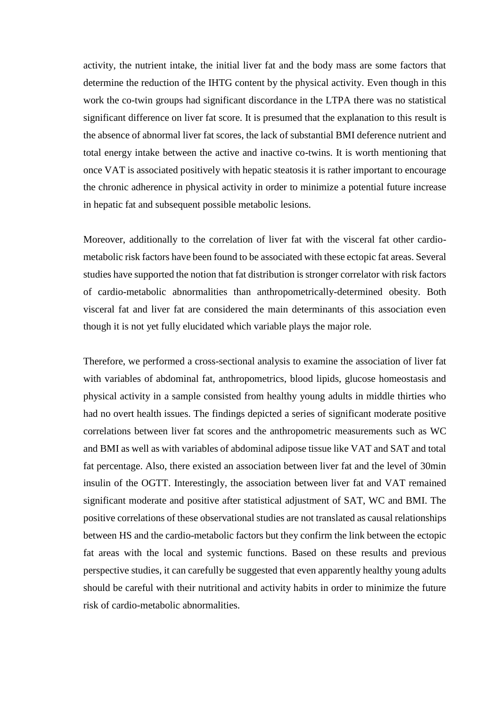activity, the nutrient intake, the initial liver fat and the body mass are some factors that determine the reduction of the IHTG content by the physical activity. Even though in this work the co-twin groups had significant discordance in the LTPA there was no statistical significant difference on liver fat score. It is presumed that the explanation to this result is the absence of abnormal liver fat scores, the lack of substantial BMI deference nutrient and total energy intake between the active and inactive co-twins. It is worth mentioning that once VAT is associated positively with hepatic steatosis it is rather important to encourage the chronic adherence in physical activity in order to minimize a potential future increase in hepatic fat and subsequent possible metabolic lesions.

Moreover, additionally to the correlation of liver fat with the visceral fat other cardiometabolic risk factors have been found to be associated with these ectopic fat areas. Several studies have supported the notion that fat distribution is stronger correlator with risk factors of cardio-metabolic abnormalities than anthropometrically-determined obesity. Both visceral fat and liver fat are considered the main determinants of this association even though it is not yet fully elucidated which variable plays the major role.

Therefore, we performed a cross-sectional analysis to examine the association of liver fat with variables of abdominal fat, anthropometrics, blood lipids, glucose homeostasis and physical activity in a sample consisted from healthy young adults in middle thirties who had no overt health issues. The findings depicted a series of significant moderate positive correlations between liver fat scores and the anthropometric measurements such as WC and BMI as well as with variables of abdominal adipose tissue like VAT and SAT and total fat percentage. Also, there existed an association between liver fat and the level of 30min insulin of the OGTT. Interestingly, the association between liver fat and VAT remained significant moderate and positive after statistical adjustment of SAT, WC and BMI. The positive correlations of these observational studies are not translated as causal relationships between HS and the cardio-metabolic factors but they confirm the link between the ectopic fat areas with the local and systemic functions. Based on these results and previous perspective studies, it can carefully be suggested that even apparently healthy young adults should be careful with their nutritional and activity habits in order to minimize the future risk of cardio-metabolic abnormalities.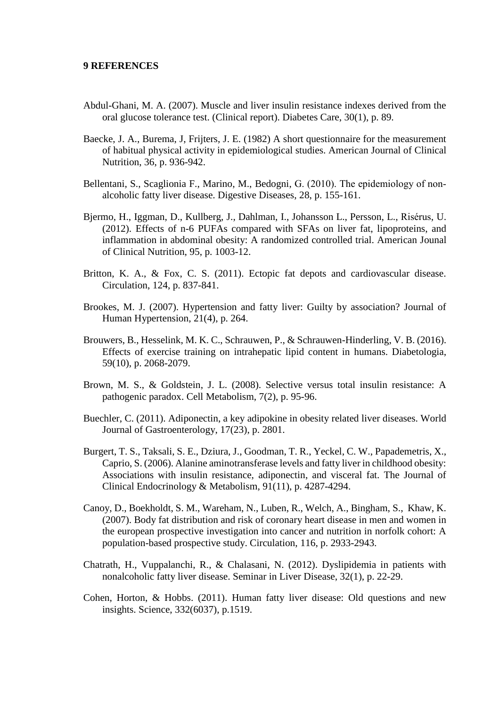#### <span id="page-49-0"></span>**9 REFERENCES**

- Abdul-Ghani, M. A. (2007). Muscle and liver insulin resistance indexes derived from the oral glucose tolerance test. (Clinical report). Diabetes Care, 30(1), p. 89.
- Baecke, J. A., Burema, J, Frijters, J. E. (1982) A short questionnaire for the measurement of habitual physical activity in epidemiological studies. American Journal of Clinical Nutrition, 36, p. 936-942.
- Bellentani, S., Scaglionia F., Marino, M., Bedogni, G. (2010). The epidemiology of nonalcoholic fatty liver disease. Digestive Diseases, 28, p. 155-161.
- Bjermo, H., Iggman, D., Kullberg, J., Dahlman, I., Johansson L., Persson, L., Risérus, U. (2012). Effects of n-6 PUFAs compared with SFAs on liver fat, lipoproteins, and inflammation in abdominal obesity: A randomized controlled trial. American Jounal of Clinical Nutrition, 95, p. 1003-12.
- Britton, K. A., & Fox, C. S. (2011). Ectopic fat depots and cardiovascular disease. Circulation, 124, p. 837-841.
- Brookes, M. J. (2007). Hypertension and fatty liver: Guilty by association? Journal of Human Hypertension, 21(4), p. 264.
- Brouwers, B., Hesselink, M. K. C., Schrauwen, P., & Schrauwen-Hinderling, V. B. (2016). Effects of exercise training on intrahepatic lipid content in humans. Diabetologia, 59(10), p. 2068-2079.
- Brown, M. S., & Goldstein, J. L. (2008). Selective versus total insulin resistance: A pathogenic paradox. Cell Metabolism, 7(2), p. 95-96.
- Buechler, C. (2011). Adiponectin, a key adipokine in obesity related liver diseases. World Journal of Gastroenterology, 17(23), p. 2801.
- Burgert, T. S., Taksali, S. E., Dziura, J., Goodman, T. R., Yeckel, C. W., Papademetris, X., Caprio, S. (2006). Alanine aminotransferase levels and fatty liver in childhood obesity: Associations with insulin resistance, adiponectin, and visceral fat. The Journal of Clinical Endocrinology & Metabolism, 91(11), p. 4287-4294.
- Canoy, D., Boekholdt, S. M., Wareham, N., Luben, R., Welch, A., Bingham, S., Khaw, K. (2007). Body fat distribution and risk of coronary heart disease in men and women in the european prospective investigation into cancer and nutrition in norfolk cohort: A population-based prospective study. Circulation, 116, p. 2933-2943.
- Chatrath, H., Vuppalanchi, R., & Chalasani, N. (2012). Dyslipidemia in patients with nonalcoholic fatty liver disease. Seminar in Liver Disease, 32(1), p. 22-29.
- Cohen, Horton, & Hobbs. (2011). Human fatty liver disease: Old questions and new insights. Science, 332(6037), p.1519.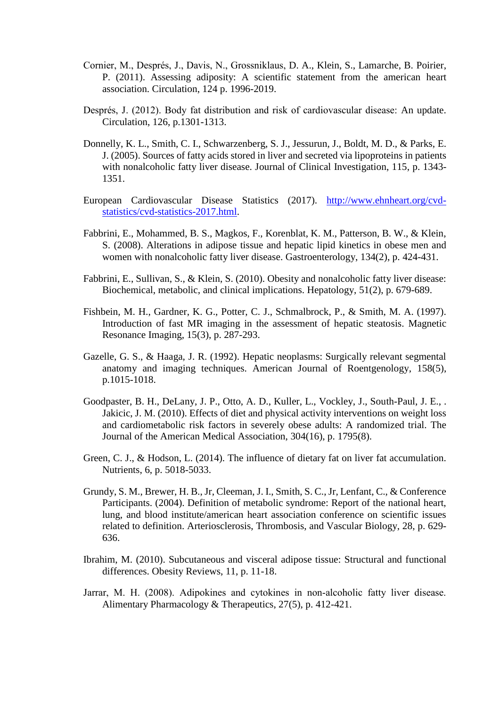- Cornier, M., Després, J., Davis, N., Grossniklaus, D. A., Klein, S., Lamarche, B. Poirier, P. (2011). Assessing adiposity: A scientific statement from the american heart association. Circulation, 124 p. 1996-2019.
- Després, J. (2012). Body fat distribution and risk of cardiovascular disease: An update. Circulation, 126, p.1301-1313.
- Donnelly, K. L., Smith, C. I., Schwarzenberg, S. J., Jessurun, J., Boldt, M. D., & Parks, E. J. (2005). Sources of fatty acids stored in liver and secreted via lipoproteins in patients with nonalcoholic fatty liver disease. Journal of Clinical Investigation, 115, p. 1343- 1351.
- European Cardiovascular Disease Statistics (2017). [http://www.ehnheart.org/cvd](http://www.ehnheart.org/cvd-statistics/cvd-statistics-2017.html)[statistics/cvd-statistics-2017.html.](http://www.ehnheart.org/cvd-statistics/cvd-statistics-2017.html)
- Fabbrini, E., Mohammed, B. S., Magkos, F., Korenblat, K. M., Patterson, B. W., & Klein, S. (2008). Alterations in adipose tissue and hepatic lipid kinetics in obese men and women with nonalcoholic fatty liver disease. Gastroenterology, 134(2), p. 424-431.
- Fabbrini, E., Sullivan, S., & Klein, S. (2010). Obesity and nonalcoholic fatty liver disease: Biochemical, metabolic, and clinical implications. Hepatology, 51(2), p. 679-689.
- Fishbein, M. H., Gardner, K. G., Potter, C. J., Schmalbrock, P., & Smith, M. A. (1997). Introduction of fast MR imaging in the assessment of hepatic steatosis. Magnetic Resonance Imaging, 15(3), p. 287-293.
- Gazelle, G. S., & Haaga, J. R. (1992). Hepatic neoplasms: Surgically relevant segmental anatomy and imaging techniques. American Journal of Roentgenology, 158(5), p.1015-1018.
- Goodpaster, B. H., DeLany, J. P., Otto, A. D., Kuller, L., Vockley, J., South-Paul, J. E., . Jakicic, J. M. (2010). Effects of diet and physical activity interventions on weight loss and cardiometabolic risk factors in severely obese adults: A randomized trial. The Journal of the American Medical Association, 304(16), p. 1795(8).
- Green, C. J., & Hodson, L. (2014). The influence of dietary fat on liver fat accumulation. Nutrients, 6, p. 5018-5033.
- Grundy, S. M., Brewer, H. B., Jr, Cleeman, J. I., Smith, S. C., Jr, Lenfant, C., & Conference Participants. (2004). Definition of metabolic syndrome: Report of the national heart, lung, and blood institute/american heart association conference on scientific issues related to definition. Arteriosclerosis, Thrombosis, and Vascular Biology, 28, p. 629- 636.
- Ibrahim, M. (2010). Subcutaneous and visceral adipose tissue: Structural and functional differences. Obesity Reviews, 11, p. 11-18.
- Jarrar, M. H. (2008). Adipokines and cytokines in non‐alcoholic fatty liver disease. Alimentary Pharmacology & Therapeutics, 27(5), p. 412-421.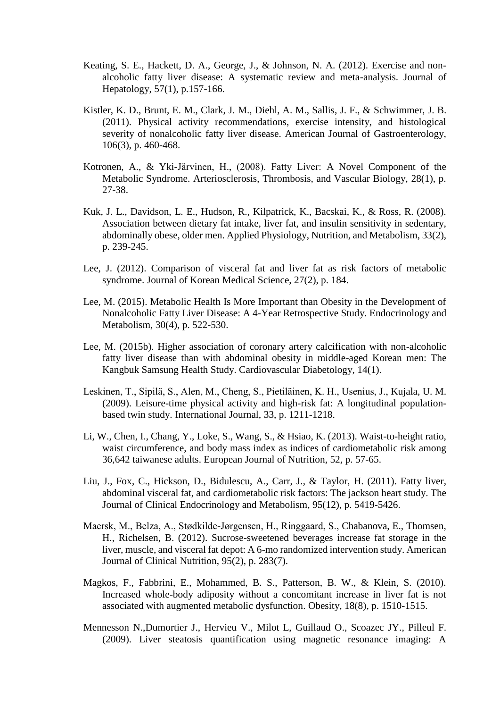- Keating, S. E., Hackett, D. A., George, J., & Johnson, N. A. (2012). Exercise and nonalcoholic fatty liver disease: A systematic review and meta-analysis. Journal of Hepatology, 57(1), p.157-166.
- Kistler, K. D., Brunt, E. M., Clark, J. M., Diehl, A. M., Sallis, J. F., & Schwimmer, J. B. (2011). Physical activity recommendations, exercise intensity, and histological severity of nonalcoholic fatty liver disease. American Journal of Gastroenterology, 106(3), p. 460-468.
- Kotronen, A., & Yki-Järvinen, H., (2008). Fatty Liver: A Novel Component of the Metabolic Syndrome. Arteriosclerosis, Thrombosis, and Vascular Biology, 28(1), p. 27-38.
- Kuk, J. L., Davidson, L. E., Hudson, R., Kilpatrick, K., Bacskai, K., & Ross, R. (2008). Association between dietary fat intake, liver fat, and insulin sensitivity in sedentary, abdominally obese, older men. Applied Physiology, Nutrition, and Metabolism, 33(2), p. 239-245.
- Lee, J. (2012). Comparison of visceral fat and liver fat as risk factors of metabolic syndrome. Journal of Korean Medical Science, 27(2), p. 184.
- Lee, M. (2015). Metabolic Health Is More Important than Obesity in the Development of Nonalcoholic Fatty Liver Disease: A 4-Year Retrospective Study. Endocrinology and Metabolism, 30(4), p. 522-530.
- Lee, M. (2015b). Higher association of coronary artery calcification with non-alcoholic fatty liver disease than with abdominal obesity in middle-aged Korean men: The Kangbuk Samsung Health Study. Cardiovascular Diabetology, 14(1).
- Leskinen, T., Sipilä, S., Alen, M., Cheng, S., Pietiläinen, K. H., Usenius, J., Kujala, U. M. (2009). Leisure-time physical activity and high-risk fat: A longitudinal populationbased twin study. International Journal, 33, p. 1211-1218.
- Li, W., Chen, I., Chang, Y., Loke, S., Wang, S., & Hsiao, K. (2013). Waist-to-height ratio, waist circumference, and body mass index as indices of cardiometabolic risk among 36,642 taiwanese adults. European Journal of Nutrition, 52, p. 57-65.
- Liu, J., Fox, C., Hickson, D., Bidulescu, A., Carr, J., & Taylor, H. (2011). Fatty liver, abdominal visceral fat, and cardiometabolic risk factors: The jackson heart study. The Journal of Clinical Endocrinology and Metabolism, 95(12), p. 5419-5426.
- Maersk, M., Belza, A., Stødkilde-Jørgensen, H., Ringgaard, S., Chabanova, E., Thomsen, H., Richelsen, B. (2012). Sucrose-sweetened beverages increase fat storage in the liver, muscle, and visceral fat depot: A 6-mo randomized intervention study. American Journal of Clinical Nutrition, 95(2), p. 283(7).
- Magkos, F., Fabbrini, E., Mohammed, B. S., Patterson, B. W., & Klein, S. (2010). Increased whole-body adiposity without a concomitant increase in liver fat is not associated with augmented metabolic dysfunction. Obesity, 18(8), p. 1510-1515.
- Mennesson N.,Dumortier J., Hervieu V., Milot L, Guillaud O., Scoazec JY., Pilleul F. (2009). Liver steatosis quantification using magnetic resonance imaging: A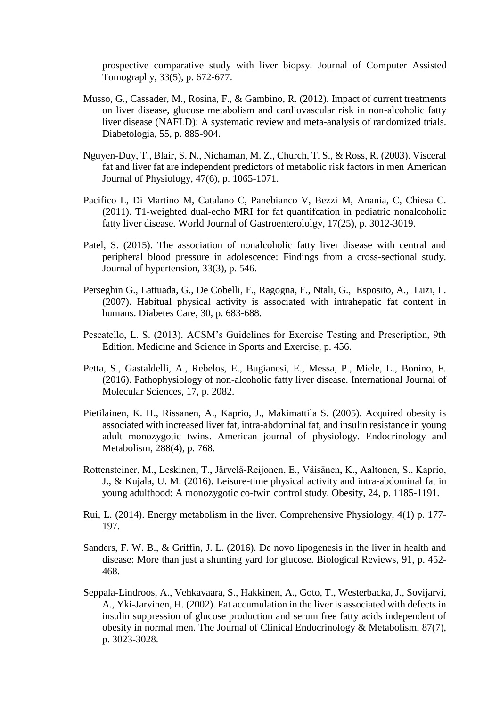prospective comparative study with liver biopsy. Journal of Computer Assisted Tomography, 33(5), p. 672-677.

- Musso, G., Cassader, M., Rosina, F., & Gambino, R. (2012). Impact of current treatments on liver disease, glucose metabolism and cardiovascular risk in non-alcoholic fatty liver disease (NAFLD): A systematic review and meta-analysis of randomized trials. Diabetologia, 55, p. 885-904.
- Nguyen-Duy, T., Blair, S. N., Nichaman, M. Z., Church, T. S., & Ross, R. (2003). Visceral fat and liver fat are independent predictors of metabolic risk factors in men American Journal of Physiology, 47(6), p. 1065-1071.
- Pacifico L, Di Martino M, Catalano C, Panebianco V, Bezzi M, Anania, C, Chiesa C. (2011). T1-weighted dual-echo MRI for fat quantifcation in pediatric nonalcoholic fatty liver disease. World Journal of Gastroenterololgy, 17(25), p. 3012-3019.
- Patel, S. (2015). The association of nonalcoholic fatty liver disease with central and peripheral blood pressure in adolescence: Findings from a cross-sectional study. Journal of hypertension, 33(3), p. 546.
- Perseghin G., Lattuada, G., De Cobelli, F., Ragogna, F., Ntali, G., Esposito, A., Luzi, L. (2007). Habitual physical activity is associated with intrahepatic fat content in humans. Diabetes Care, 30, p. 683-688.
- Pescatello, L. S. (2013). ACSM's Guidelines for Exercise Testing and Prescription, 9th Edition. Medicine and Science in Sports and Exercise, p. 456.
- Petta, S., Gastaldelli, A., Rebelos, E., Bugianesi, E., Messa, P., Miele, L., Bonino, F. (2016). Pathophysiology of non-alcoholic fatty liver disease. International Journal of Molecular Sciences, 17, p. 2082.
- Pietilainen, K. H., Rissanen, A., Kaprio, J., Makimattila S. (2005). Acquired obesity is associated with increased liver fat, intra-abdominal fat, and insulin resistance in young adult monozygotic twins. American journal of physiology. Endocrinology and Metabolism, 288(4), p. 768.
- Rottensteiner, M., Leskinen, T., Järvelä-Reijonen, E., Väisänen, K., Aaltonen, S., Kaprio, J., & Kujala, U. M. (2016). Leisure-time physical activity and intra-abdominal fat in young adulthood: A monozygotic co-twin control study. Obesity, 24, p. 1185-1191.
- Rui, L. (2014). Energy metabolism in the liver. Comprehensive Physiology, 4(1) p. 177- 197.
- Sanders, F. W. B., & Griffin, J. L. (2016). De novo lipogenesis in the liver in health and disease: More than just a shunting yard for glucose. Biological Reviews, 91, p. 452- 468.
- Seppala-Lindroos, A., Vehkavaara, S., Hakkinen, A., Goto, T., Westerbacka, J., Sovijarvi, A., Yki-Jarvinen, H. (2002). Fat accumulation in the liver is associated with defects in insulin suppression of glucose production and serum free fatty acids independent of obesity in normal men. The Journal of Clinical Endocrinology & Metabolism, 87(7), p. 3023-3028.